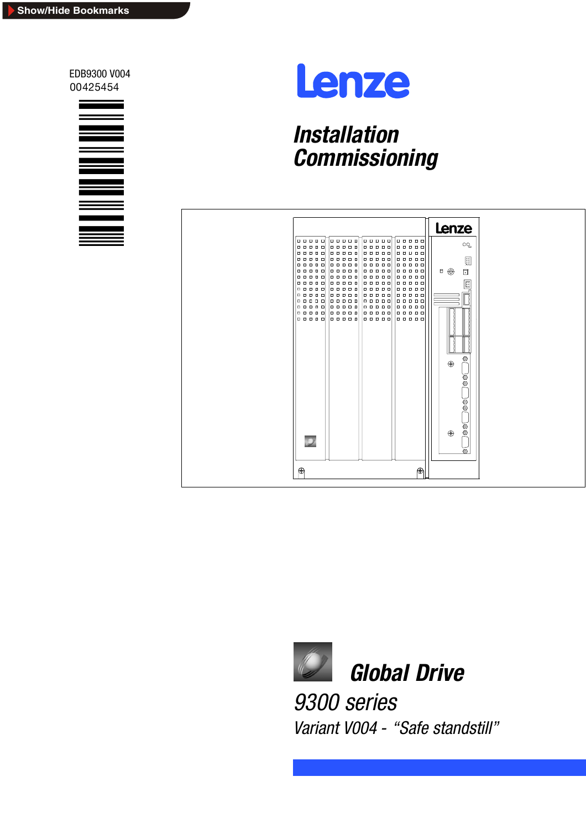EDB9300 V004 00425454





# *Installation Commissioning*





*Variant V004 - "Safe standstill"*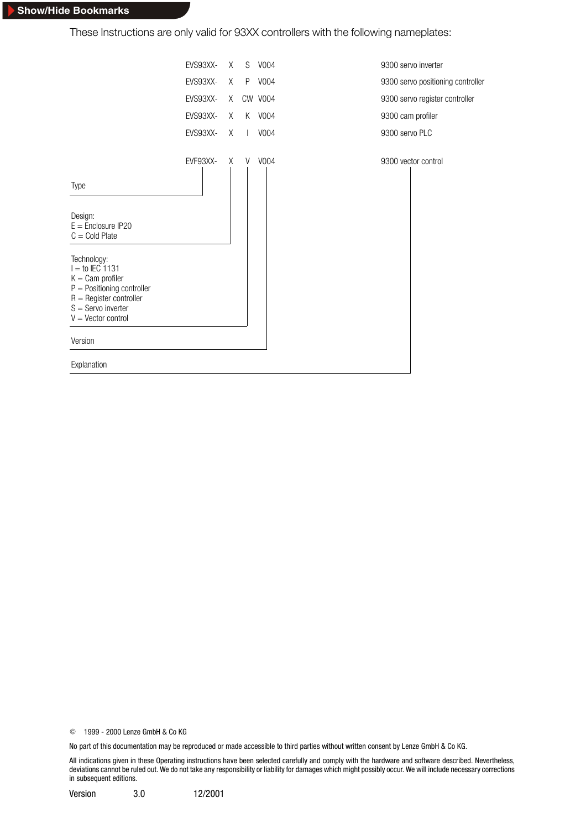These Instructions are only valid for 93XX controllers with the following nameplates:



E 1999 - 2000 Lenze GmbH & Co KG

No part of this documentation may be reproduced or made accessible to third parties without written consent by Lenze GmbH & Co KG.

All indications given in these Operating instructions have been selected carefully and comply with the hardware and software described. Nevertheless, deviations cannot be ruled out. We do not take any responsibility or liability for damages which might possibly occur. We will include necessary corrections in subsequent editions.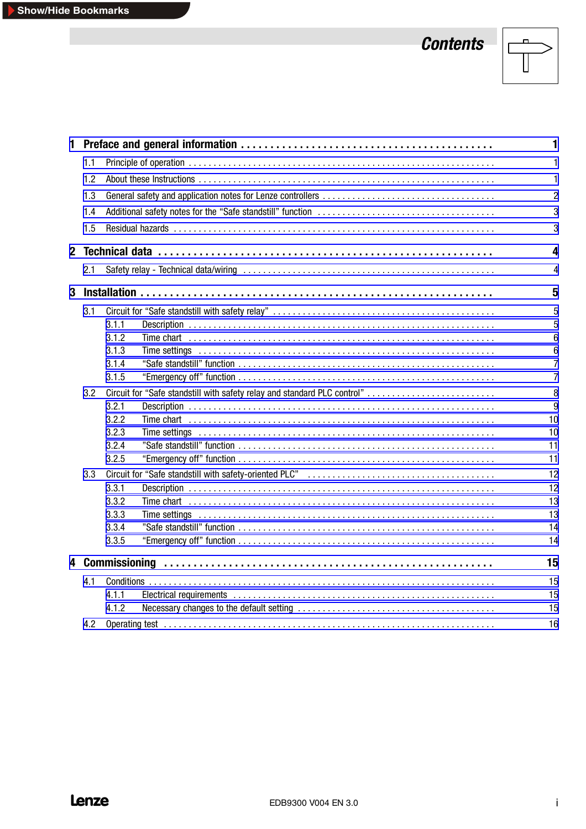# *Contents*



|     |                                                                          | 1               |
|-----|--------------------------------------------------------------------------|-----------------|
| 1.1 |                                                                          | 1               |
| 1.2 |                                                                          | $\mathbf{1}$    |
| 1.3 |                                                                          | $\overline{2}$  |
| 1.4 |                                                                          | 3               |
|     |                                                                          |                 |
| 1.5 |                                                                          | 3               |
|     |                                                                          | 4               |
| 2.1 |                                                                          | 4               |
|     |                                                                          | 5               |
| 3.1 |                                                                          | 5               |
|     | 3.1.1                                                                    | 5               |
|     | 3.1.2                                                                    | 6               |
|     | 3.1.3                                                                    | $6\phantom{1}6$ |
|     | 3.1.4                                                                    | $\overline{7}$  |
|     | 3.1.5                                                                    | $\overline{7}$  |
| 3.2 | Circuit for "Safe standstill with safety relay and standard PLC control" | 8               |
|     | 3.2.1                                                                    | 9               |
|     | 3.2.2                                                                    | 10              |
|     | 3.2.3                                                                    | 10              |
|     | 3.2.4                                                                    | 11              |
|     | 3.2.5                                                                    | 11              |
| 3.3 |                                                                          | 12              |
|     | 3.3.1                                                                    | 12              |
|     | 3.3.2                                                                    | 13              |
|     | 3.3.3                                                                    | 13              |
|     | 3.3.4<br>3.3.5                                                           | 14<br>14        |
|     |                                                                          |                 |
|     |                                                                          | 15              |
| 4.1 |                                                                          | 15              |
|     | 4.1.1                                                                    | 15              |
|     | 4.1.2                                                                    | 15              |
| 4.2 |                                                                          | 16              |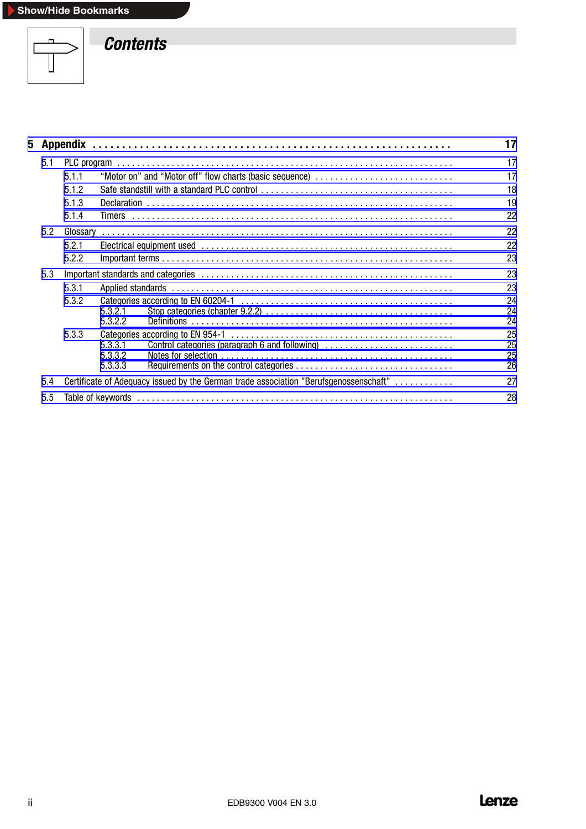

*Contents*

|       |          |                               |                                                                                       | 17                   |
|-------|----------|-------------------------------|---------------------------------------------------------------------------------------|----------------------|
| 5.1   |          |                               |                                                                                       | 17                   |
|       | 5.1.1    |                               | "Motor on" and "Motor off" flow charts (basic sequence)                               | 17                   |
|       | 5.1.2    |                               |                                                                                       | 18                   |
|       | 5.1.3    |                               |                                                                                       | 19                   |
|       | 5.1.4    |                               |                                                                                       | 22                   |
| 5.2   | Glossary |                               |                                                                                       | 22                   |
|       | 5.2.1    |                               |                                                                                       | 22                   |
|       | 5.2.2    |                               |                                                                                       | 23                   |
| 5.3   |          |                               |                                                                                       |                      |
| 5.3.1 |          |                               | 23                                                                                    |                      |
|       | 5.3.2    | 5.3.2.1<br>5.3.2.2            |                                                                                       | 24<br>24<br>24       |
|       | 5.3.3    | 5.3.3.1<br>5.3.3.2<br>5.3.3.3 | Control categories (paragraph 6 and following)                                        | 25<br>25<br>25<br>26 |
| 5.4   |          |                               | Certificate of Adequacy issued by the German trade association "Berufsgenossenschaft" | 27                   |
| 5.5   |          |                               |                                                                                       |                      |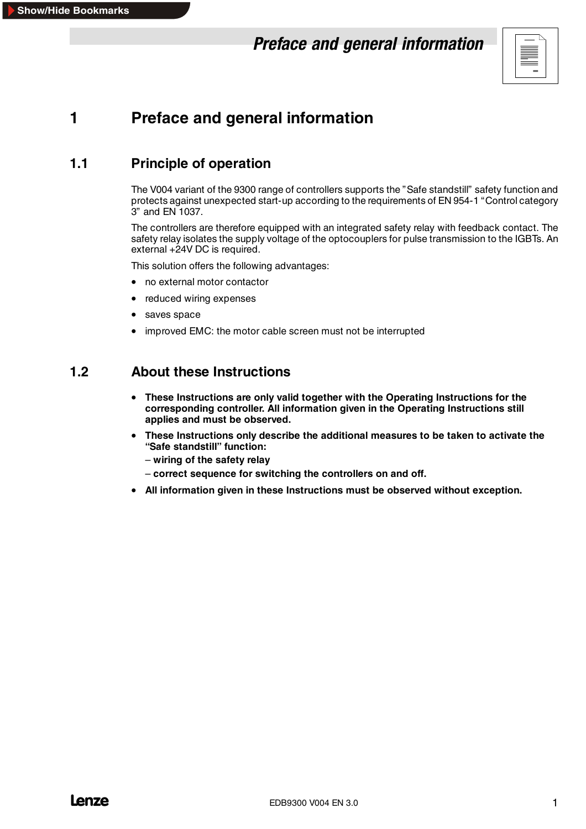# *Preface and general information*



# <span id="page-4-0"></span>**1 Preface and general information**

## **1.1 Principle of operation**

The V004 variant of the 9300 range of controllers supports the "Safe standstill" safety function and protects against unexpected start-up according to the requirements of EN 954-1 "Control category 3" and EN 1037.

The controllers are therefore equipped with an integrated safety relay with feedback contact. The safety relay isolates the supply voltage of the optocouplers for pulse transmission to the IGBTs. An external +24V DC is required.

This solution offers the following advantages:

- no external motor contactor
- reduced wiring expenses
- saves space
- improved EMC: the motor cable screen must not be interrupted

## **1.2 About these Instructions**

- **These Instructions are only valid together with the Operating Instructions for the corresponding controller. All information given in the Operating Instructions still applies and must be observed.**
- **These Instructions only describe the additional measures to be taken to activate the "Safe standstill" function:**
	- **wiring of the safety relay**
	- **correct sequence for switching the controllers on and off.**
- **All information given in these Instructions must be observed without exception.**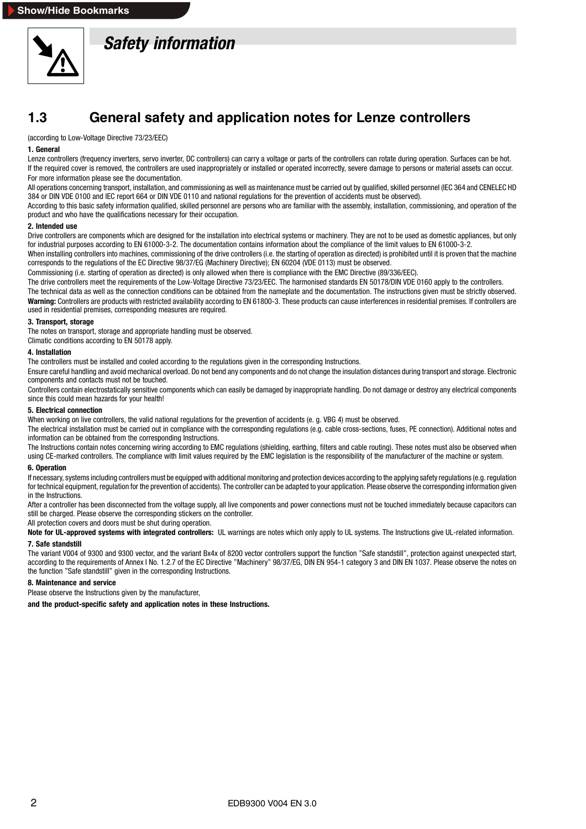<span id="page-5-0"></span>

# *Safety information*

## **1.3 General safety and application notes for Lenze controllers**

(according to Low-Voltage Directive 73/23/EEC)

#### **1. General**

Lenze controllers (frequency inverters, servo inverter, DC controllers) can carry a voltage or parts of the controllers can rotate during operation. Surfaces can be hot. If the required cover is removed, the controllers are used inappropriately or installed or operated incorrectly, severe damage to persons or material assets can occur. For more information please see the documentation.

All operations concerning transport, installation, and commissioning as well as maintenance must be carried out by qualified, skilled personnel (IEC 364 and CENELEC HD 384 or DIN VDE 0100 and IEC report 664 or DIN VDE 0110 and national regulations for the prevention of accidents must be observed).

According to this basic safety information qualified, skilled personnel are persons who are familiar with the assembly, installation, commissioning, and operation of the product and who have the qualifications necessary for their occupation.

#### **2. Intended use**

Drive controllers are components which are designed for the installation into electrical systems or machinery. They are not to be used as domestic appliances, but only for industrial purposes according to EN 61000-3-2. The documentation contains information about the compliance of the limit values to EN 61000-3-2.

When installing controllers into machines, commissioning of the drive controllers (i.e. the starting of operation as directed) is prohibited until it is proven that the machine corresponds to the regulations of the EC Directive 98/37/EG (Machinery Directive); EN 60204 (VDE 0113) must be observed.

Commissioning (i.e. starting of operation as directed) is only allowed when there is compliance with the EMC Directive (89/336/EEC).

The drive controllers meet the requirements of the Low-Voltage Directive 73/23/EEC. The harmonised standards EN 50178/DIN VDE 0160 apply to the controllers.

The technical data as well as the connection conditions can be obtained from the nameplate and the documentation. The instructions given must be strictly observed. Warning: Controllers are products with restricted availability according to EN 61800-3. These products can cause interferences in residential premises. If controllers are used in residential premises, corresponding measures are required.

#### **3. Transport, storage**

The notes on transport, storage and appropriate handling must be observed.

Climatic conditions according to EN 50178 apply.

#### **4. Installation**

The controllers must be installed and cooled according to the regulations given in the corresponding Instructions.

Ensure careful handling and avoid mechanical overload. Do not bend any components and do not change the insulation distances during transport and storage. Electronic components and contacts must not be touched.

Controllers contain electrostatically sensitive components which can easily be damaged by inappropriate handling. Do not damage or destroy any electrical components since this could mean hazards for your health!

#### **5. Electrical connection**

When working on live controllers, the valid national regulations for the prevention of accidents (e. g. VBG 4) must be observed.

The electrical installation must be carried out in compliance with the corresponding regulations (e.g. cable cross-sections, fuses, PE connection). Additional notes and information can be obtained from the corresponding Instructions.

The Instructions contain notes concerning wiring according to EMC regulations (shielding, earthing, filters and cable routing). These notes must also be observed when using CE-marked controllers. The compliance with limit values required by the EMC legislation is the responsibility of the manufacturer of the machine or system.

#### **6. Operation**

If necessary, systems including controllers must be equipped with additional monitoring and protection devices according to the applying safety regulations (e.g. regulation for technical equipment, regulation for the prevention of accidents). The controller can be adapted to your application. Please observe the corresponding information given in the Instructions.

After a controller has been disconnected from the voltage supply, all live components and power connections must not be touched immediately because capacitors can still be charged. Please observe the corresponding stickers on the controller.

#### All protection covers and doors must be shut during operation.

**Note for UL-approved systems with integrated controllers:** UL warnings are notes which only apply to UL systems. The Instructions give UL-related information. **7. Safe standstill**

The variant V004 of 9300 and 9300 vector, and the variant Bx4x of 8200 vector controllers support the function "Safe standstill", protection against unexpected start, according to the requirements of Annex I No. 1.2.7 of the EC Directive "Machinery" 98/37/EG, DIN EN 954-1 category 3 and DIN EN 1037. Please observe the notes on the function "Safe standstill" given in the corresponding Instructions.

#### **8. Maintenance and service**

Please observe the Instructions given by the manufacturer,

**and the product-specific safety and application notes in these Instructions.**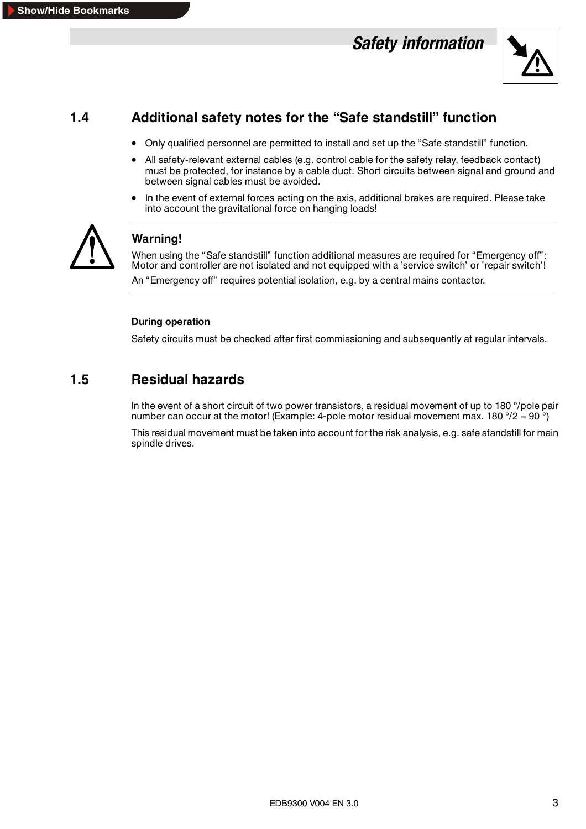# *Safety information*



## <span id="page-6-0"></span>**1.4 Additional safety notes for the "Safe standstill" function**

- Only qualified personnel are permitted to install and set up the "Safe standstill" function.
- All safety-relevant external cables (e.g. control cable for the safety relay, feedback contact) must be protected, for instance by a cable duct. Short circuits between signal and ground and between signal cables must be avoided.
- In the event of external forces acting on the axis, additional brakes are required. Please take into account the gravitational force on hanging loads!



## **Warning!**

When using the "Safe standstill" function additional measures are required for "Emergency off": Motor and controller are not isolated and not equipped with a 'service switch' or 'repair switch'!

An "Emergency off" requires potential isolation, e.g. by a central mains contactor.

#### **During operation**

Safety circuits must be checked after first commissioning and subsequently at regular intervals.

## **1.5 Residual hazards**

In the event of a short circuit of two power transistors, a residual movement of up to 180 °/pole pair number can occur at the motor! (Example: 4-pole motor residual movement max. 180  $\degree$ /2 = 90  $\degree$ )

This residual movement must be taken into account for the risk analysis, e.g. safe standstill for main spindle drives.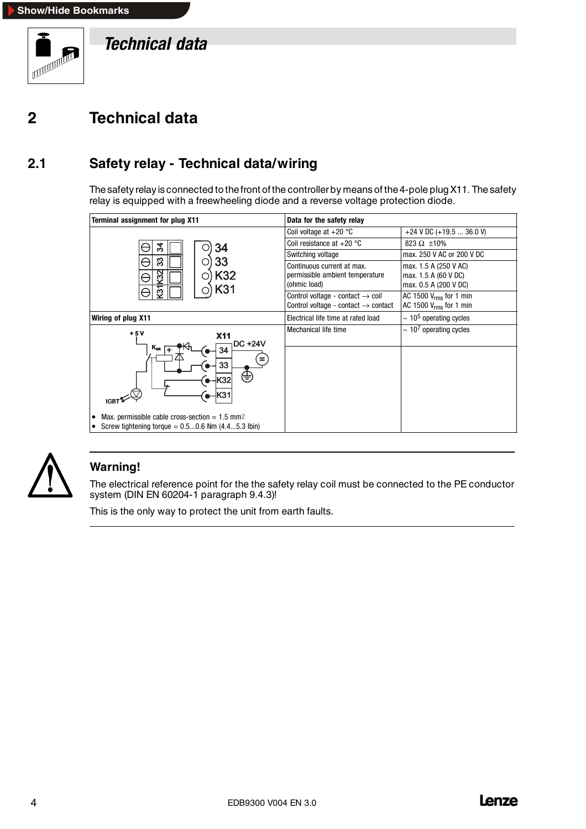<span id="page-7-0"></span>

*Technical data*

# **2 Technical data**

## **2.1 Safety relay - Technical data/wiring**

The safety relay is connected to the front of the controller by means of the 4-pole plug X11. The safety relay is equipped with a freewheeling diode and a reverse voltage protection diode.

| Terminal assignment for plug X11                                                                                                                                                                                                     | Data for the safety relay                                                                       |                                                                        |  |  |
|--------------------------------------------------------------------------------------------------------------------------------------------------------------------------------------------------------------------------------------|-------------------------------------------------------------------------------------------------|------------------------------------------------------------------------|--|--|
|                                                                                                                                                                                                                                      | Coil voltage at $+20$ °C                                                                        | +24 V DC (+19.5  36.0 V)                                               |  |  |
| रू<br>34                                                                                                                                                                                                                             | Coil resistance at $+20$ °C                                                                     | 823 $\Omega$ ±10%                                                      |  |  |
|                                                                                                                                                                                                                                      | Switching voltage                                                                               | max, 250 V AC or 200 V DC                                              |  |  |
| 33<br>33<br>N<br>K32<br>С<br>ହ<br>᠇<br>K31                                                                                                                                                                                           | Continuous current at max.<br>permissible ambient temperature<br>(ohmic load)                   | max. 1.5 A (250 V AC)<br>max. 1.5 A (60 V DC)<br>max. 0.5 A (200 V DC) |  |  |
| က                                                                                                                                                                                                                                    | Control voltage - contact $\rightarrow$ coil<br>Control voltage - contact $\rightarrow$ contact | AC 1500 $V_{rms}$ for 1 min<br>AC 1500 $V_{rms}$ for 1 min             |  |  |
| Wiring of plug X11                                                                                                                                                                                                                   | Electrical life time at rated load                                                              | $\sim$ 10 <sup>5</sup> operating cycles                                |  |  |
| $+5V$<br><b>X11</b><br><b>DC +24V</b><br>$K_{SR}$<br>34<br>33<br>⇔<br><b>K32</b><br>K31<br><b>IGB1</b><br>Max. permissible cable cross-section = $1.5$ mm <sup>2</sup><br>٠<br>Screw tightening torque = $0.50.6$ Nm $(4.45.3)$ lbin | Mechanical life time                                                                            | $\sim 10^7$ operating cycles                                           |  |  |



## **Warning!**

The electrical reference point for the the safety relay coil must be connected to the PE conductor system (DIN EN 60204-1 paragraph 9.4.3)!

This is the only way to protect the unit from earth faults.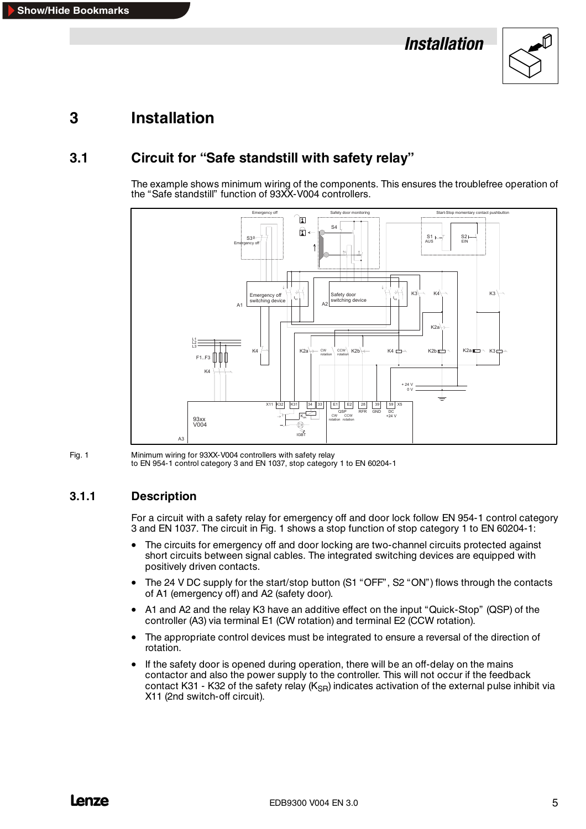

## <span id="page-8-0"></span>**3.1 Circuit for "Safe standstill with safety relay"**

The example shows minimum wiring of the components. This ensures the troublefree operation of the "Safe standstill" function of 93XX-V004 controllers.



Fig. 1 Minimum wiring for 93XX-V004 controllers with safety relay to EN 954-1 control category 3 and EN 1037, stop category 1 to EN 60204-1

#### **3.1.1 Description**

For a circuit with a safety relay for emergency off and door lock follow EN 954-1 control category 3 and EN 1037. The circuit in Fig. 1 shows a stop function of stop category 1 to EN 60204-1:

- The circuits for emergency off and door locking are two-channel circuits protected against short circuits between signal cables. The integrated switching devices are equipped with positively driven contacts.
- The 24 V DC supply for the start/stop button (S1 "OFF", S2 "ON") flows through the contacts of A1 (emergency off) and A2 (safety door).
- A1 and A2 and the relay K3 have an additive effect on the input "Quick-Stop" (QSP) of the controller (A3) via terminal E1 (CW rotation) and terminal E2 (CCW rotation).
- The appropriate control devices must be integrated to ensure a reversal of the direction of rotation.
- If the safety door is opened during operation, there will be an off-delay on the mains contactor and also the power supply to the controller. This will not occur if the feedback contact K31 - K32 of the safety relay ( $K_{\text{SR}}$ ) indicates activation of the external pulse inhibit via X11 (2nd switch-off circuit).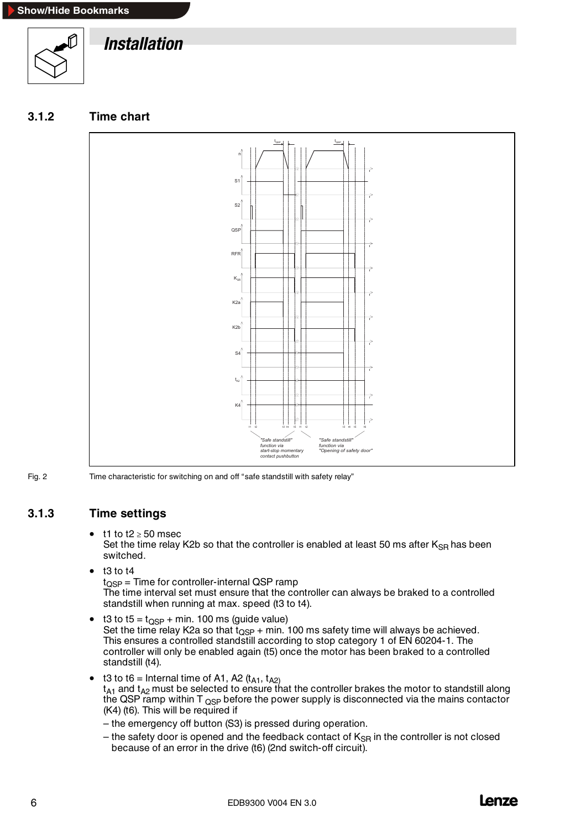<span id="page-9-0"></span>





Fig. 2 Time characteristic for switching on and off "safe standstill with safety relay"

#### **3.1.3 Time settings**

#### $\bullet$  t1 to t2  $\geq$  50 msec

Set the time relay K2b so that the controller is enabled at least 50 ms after  $K_{\text{SR}}$  has been switched.

- $\bullet$  t3 to t4  $t<sub>OSP</sub>$  = Time for controller-internal QSP ramp The time interval set must ensure that the controller can always be braked to a controlled standstill when running at max. speed (t3 to t4).
- t3 to t5 =  $t_{\text{OSP}}$  + min. 100 ms (quide value) Set the time relay K2a so that  $t_{\text{OSP}}$  + min. 100 ms safety time will always be achieved. This ensures a controlled standstill according to stop category 1 of EN 60204-1. The controller will only be enabled again (t5) once the motor has been braked to a controlled standstill (t4).
- t3 to t6 = Internal time of A1, A2  $(t_{A1}, t_{A2})$  $\mathsf{t}_{\mathsf{A}1}$  and  $\mathsf{t}_{\mathsf{A}2}$  must be selected to ensure that the controller brakes the motor to standstill along the QSP ramp within  $T_{\text{OSP}}$  before the power supply is disconnected via the mains contactor (K4) (t6). This will be required if
	- the emergency off button (S3) is pressed during operation.
	- the safety door is opened and the feedback contact of  $K_{\rm SR}$  in the controller is not closed because of an error in the drive (t6) (2nd switch-off circuit).

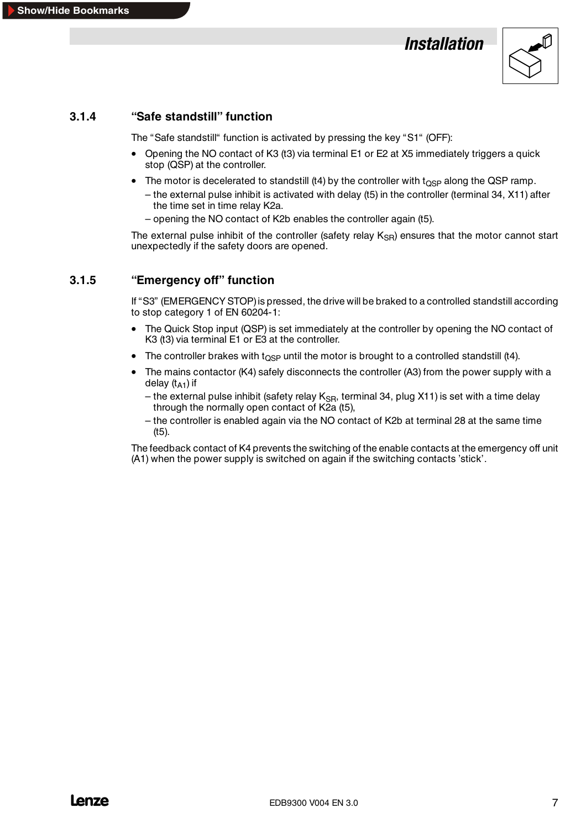

## <span id="page-10-0"></span>**3.1.4 "Safe standstill" function**

The "Safe standstill" function is activated by pressing the key "S1" (OFF):

- Opening the NO contact of K3 (t3) via terminal E1 or E2 at X5 immediately triggers a quick stop (QSP) at the controller.
- The motor is decelerated to standstill (t4) by the controller with t<sub>OSP</sub> along the QSP ramp.
	- the external pulse inhibit is activated with delay (t5) in the controller (terminal 34, X11) after the time set in time relay K2a.
	- opening the NO contact of K2b enables the controller again (t5).

The external pulse inhibit of the controller (safety relay  $K_{\text{SR}}$ ) ensures that the motor cannot start unexpectedly if the safety doors are opened.

#### **3.1.5 "Emergency off" function**

If "S3" (EMERGENCY STOP) is pressed, the drive will be braked to a controlled standstill according to stop category 1 of EN 60204-1:

- The Quick Stop input (QSP) is set immediately at the controller by opening the NO contact of K3 (t3) via terminal E1 or E3 at the controller.
- The controller brakes with  $t_{\rm OSP}$  until the motor is brought to a controlled standstill (t4).
- The mains contactor (K4) safely disconnects the controller (A3) from the power supply with a delay  $(t_{A1})$  if
	- the external pulse inhibit (safety relay  $K_{\text{SB}}$ , terminal 34, plug X11) is set with a time delay through the normally open contact of K2a (t5),
	- the controller is enabled again via the NO contact of K2b at terminal 28 at the same time (t5).

The feedback contact of K4 prevents the switching of the enable contacts at the emergency off unit (A1) when the power supply is switched on again if the switching contacts 'stick'.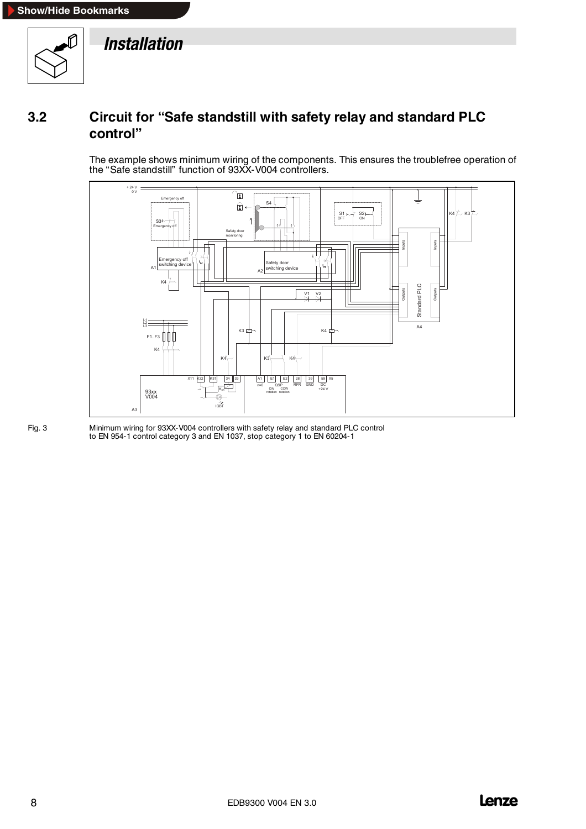<span id="page-11-0"></span>

## **3.2 Circuit for "Safe standstill with safety relay and standard PLC control"**

The example shows minimum wiring of the components. This ensures the troublefree operation of the "Safe standstill" function of 93XX-V004 controllers.



Fig. 3 Minimum wiring for 93XX-V004 controllers with safety relay and standard PLC control to EN 954-1 control category 3 and EN 1037, stop category 1 to EN 60204-1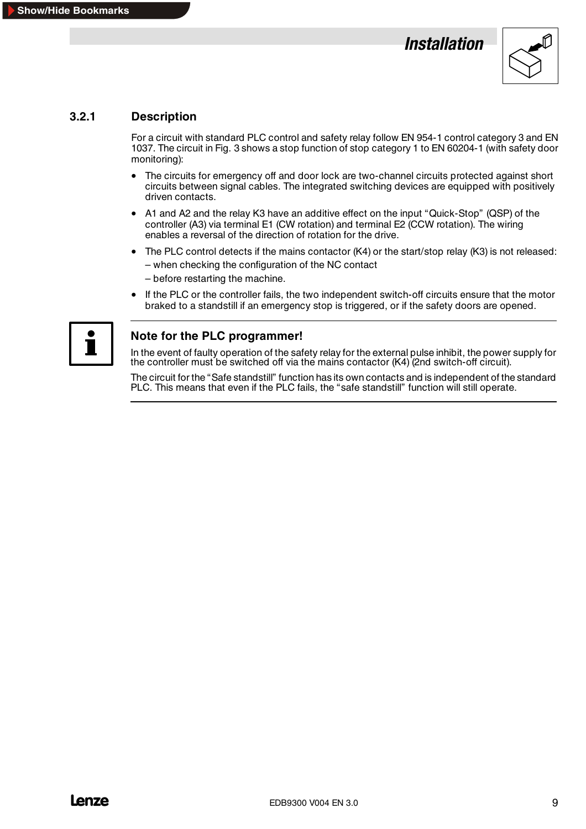

#### <span id="page-12-0"></span>**3.2.1 Description**

For a circuit with standard PLC control and safety relay follow EN 954-1 control category 3 and EN 1037. The circuit in Fig. 3 shows a stop function of stop category 1 to EN 60204-1 (with safety door monitoring):

- The circuits for emergency off and door lock are two-channel circuits protected against short circuits between signal cables. The integrated switching devices are equipped with positively driven contacts.
- A1 and A2 and the relay K3 have an additive effect on the input "Quick-Stop" (QSP) of the controller (A3) via terminal E1 (CW rotation) and terminal E2 (CCW rotation). The wiring enables a reversal of the direction of rotation for the drive.
- The PLC control detects if the mains contactor (K4) or the start/stop relay (K3) is not released:
	- when checking the configuration of the NC contact
	- before restarting the machine.
- If the PLC or the controller fails, the two independent switch-off circuits ensure that the motor braked to a standstill if an emergency stop is triggered, or if the safety doors are opened.



#### **Note for the PLC programmer!**

In the event of faulty operation of the safety relay for the external pulse inhibit, the power supply for the controller must be switched off via the mains contactor (K4) (2nd switch-off circuit).

The circuit for the "Safe standstill" function has its own contacts and is independent of the standard PLC. This means that even if the PLC fails, the "safe standstill" function will still operate.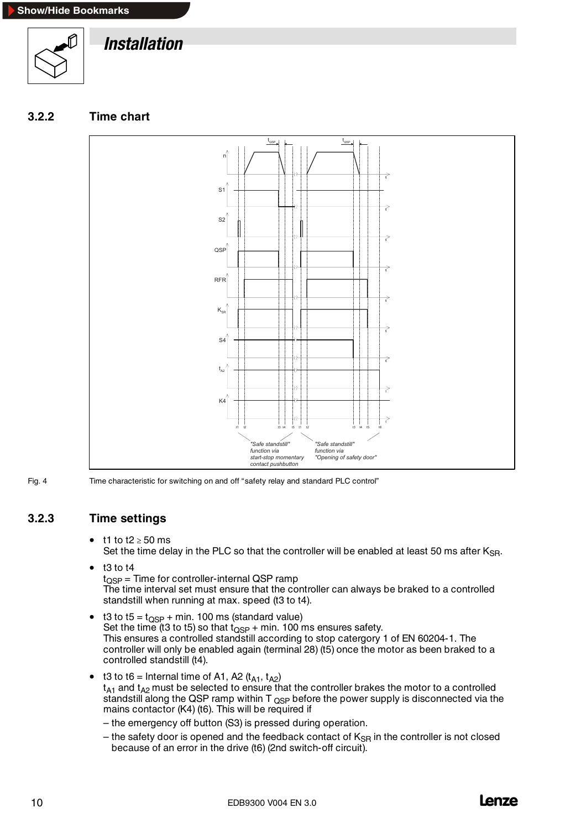<span id="page-13-0"></span>

#### **3.2.2 Time chart**



Fig. 4 Time characteristic for switching on and off "safety relay and standard PLC control"

#### **3.2.3 Time settings**

t1 to t2  $\geq$  50 ms

Set the time delay in the PLC so that the controller will be enabled at least 50 ms after  $K_{\text{SR}}$ .

 $\bullet$  t3 to t4

 $t_{\text{OSP}}$  = Time for controller-internal QSP ramp The time interval set must ensure that the controller can always be braked to a controlled standstill when running at max. speed (t3 to t4).

- t3 to t5 =  $t_{\text{QSP}}$  + min. 100 ms (standard value) Set the time (t3 to t5) so that  $t_{\text{QSP}}$  + min. 100 ms ensures safety. This ensures a controlled standstill according to stop catergory 1 of EN 60204-1. The controller will only be enabled again (terminal 28) (t5) once the motor as been braked to a controlled standstill (t4).
- t3 to t6 = Internal time of A1, A2  $(t_{A1}, t_{A2})$  $t_{A1}$  and  $t_{A2}$  must be selected to ensure that the controller brakes the motor to a controlled standstill along the QSP ramp within  $T_{QSP}$  before the power supply is disconnected via the mains contactor (K4) (t6). This will be required if
	- the emergency off button (S3) is pressed during operation.
	- the safety door is opened and the feedback contact of  $K_{\text{SR}}$  in the controller is not closed because of an error in the drive (t6) (2nd switch-off circuit).

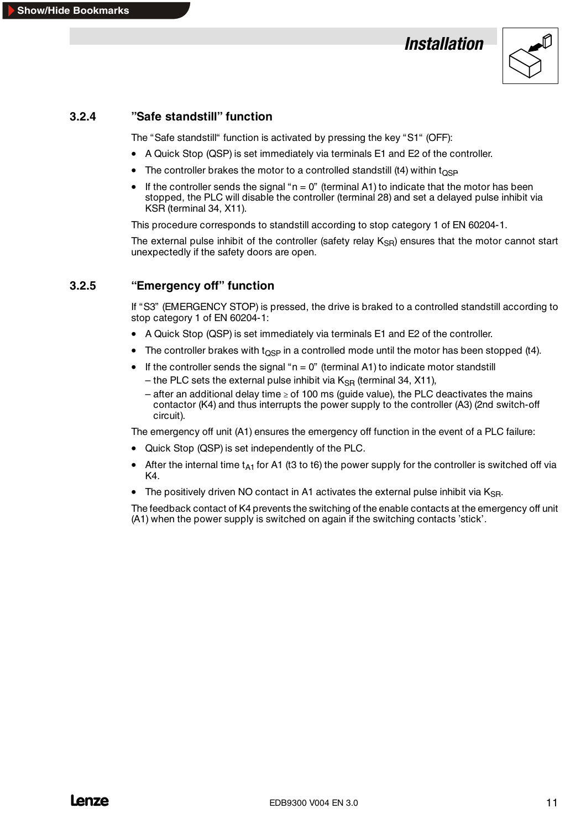

#### <span id="page-14-0"></span>**3.2.4 "Safe standstill" function**

The "Safe standstill" function is activated by pressing the key "S1" (OFF):

- A Quick Stop (QSP) is set immediately via terminals E1 and E2 of the controller.
- The controller brakes the motor to a controlled standstill (t4) within  $t_{OSP}$
- If the controller sends the signal " $n = 0$ " (terminal A1) to indicate that the motor has been stopped, the PLC will disable the controller (terminal 28) and set a delayed pulse inhibit via KSR (terminal 34, X11).

This procedure corresponds to standstill according to stop category 1 of EN 60204-1.

The external pulse inhibit of the controller (safety relay  $K_{\text{SR}}$ ) ensures that the motor cannot start unexpectedly if the safety doors are open.

#### **3.2.5 "Emergency off" function**

If "S3" (EMERGENCY STOP) is pressed, the drive is braked to a controlled standstill according to stop category 1 of EN 60204-1:

- A Quick Stop (QSP) is set immediately via terminals E1 and E2 of the controller.
- The controller brakes with  $\log p$  in a controlled mode until the motor has been stopped (t4).
- If the controller sends the signal " $n = 0$ " (terminal A1) to indicate motor standstill
	- the PLC sets the external pulse inhibit via  $K_{\rm SR}$  (terminal 34, X11),
	- after an additional delay time  $\geq$  of 100 ms (guide value), the PLC deactivates the mains contactor (K4) and thus interrupts the power supply to the controller (A3) (2nd switch-off circuit).

The emergency off unit (A1) ensures the emergency off function in the event of a PLC failure:

- Quick Stop (QSP) is set independently of the PLC.
- After the internal time  $t_{A1}$  for A1 (t3 to t6) the power supply for the controller is switched off via K4.
- The positively driven NO contact in A1 activates the external pulse inhibit via  $K_{SB}$ .

The feedback contact of K4 prevents the switching of the enable contacts at the emergency off unit (A1) when the power supply is switched on again if the switching contacts 'stick'.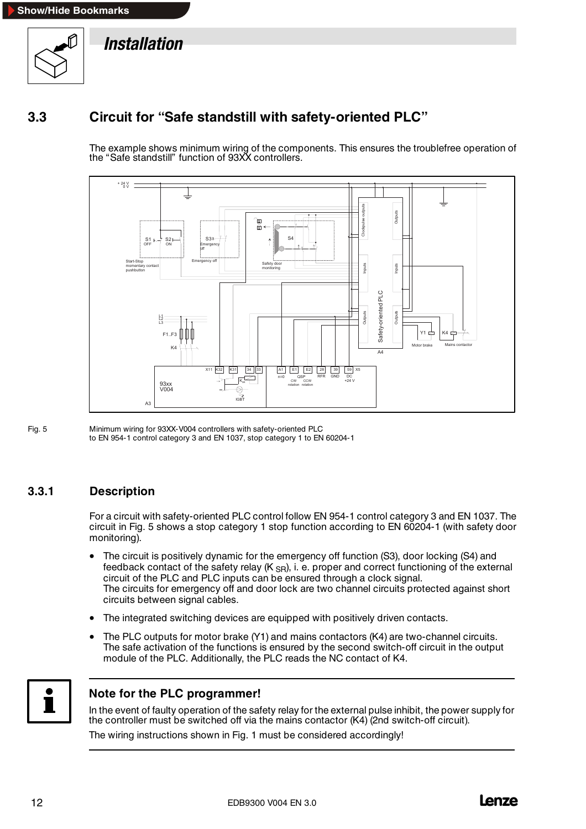<span id="page-15-0"></span>

## **3.3 Circuit for "Safe standstill with safety-oriented PLC"**

The example shows minimum wiring of the components. This ensures the troublefree operation of the "Safe standstill" function of 93XX controllers.



Fig. 5 Minimum wiring for 93XX-V004 controllers with safety-oriented PLC to EN 954-1 control category 3 and EN 1037, stop category 1 to EN 60204-1

#### **3.3.1 Description**

For a circuit with safety-oriented PLC control follow EN 954-1 control category 3 and EN 1037. The circuit in Fig. 5 shows a stop category 1 stop function according to EN 60204-1 (with safety door monitoring).

- The circuit is positively dynamic for the emergency off function (S3), door locking (S4) and feedback contact of the safety relay  $(K_{SR})$ , i. e. proper and correct functioning of the external circuit of the PLC and PLC inputs can be ensured through a clock signal. The circuits for emergency off and door lock are two channel circuits protected against short circuits between signal cables.
- The integrated switching devices are equipped with positively driven contacts.
- The PLC outputs for motor brake (Y1) and mains contactors (K4) are two-channel circuits. The safe activation of the functions is ensured by the second switch-off circuit in the output module of the PLC. Additionally, the PLC reads the NC contact of K4.



#### **Note for the PLC programmer!**

In the event of faulty operation of the safety relay for the external pulse inhibit, the power supply for the controller must be switched off via the mains contactor (K4) (2nd switch-off circuit).

The wiring instructions shown in Fig. 1 must be considered accordingly!

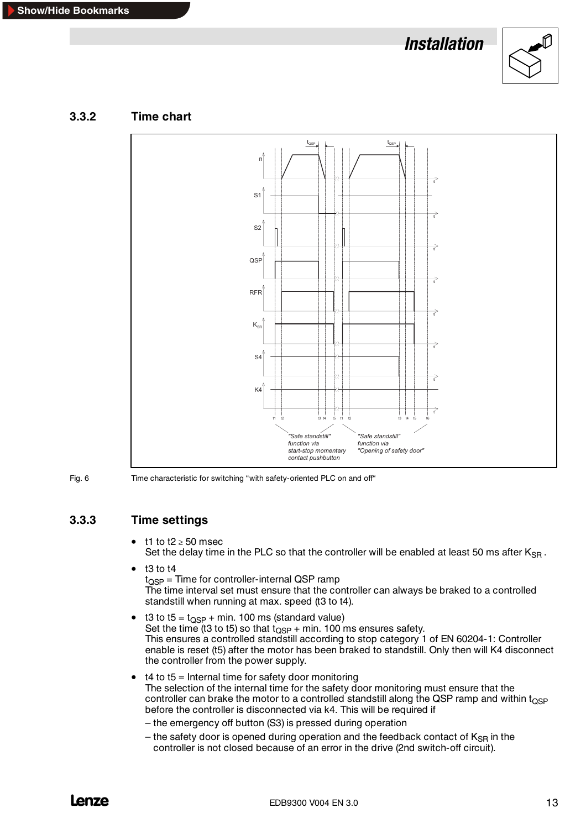

<span id="page-16-0"></span>





Fig. 6 Time characteristic for switching "with safety-oriented PLC on and off"

#### **3.3.3 Time settings**

- t1 to t2  $\geq$  50 msec Set the delay time in the PLC so that the controller will be enabled at least 50 ms after  $K_{\text{SR}}$ .
- $\bullet$  t3 to t4  $t_{\text{OSP}}$  = Time for controller-internal QSP ramp The time interval set must ensure that the controller can always be braked to a controlled standstill when running at max. speed (t3 to t4).
- t3 to t5 =  $t_{\text{OSP}}$  + min. 100 ms (standard value) Set the time (t3 to t5) so that  $t_{\text{QSP}}$  + min. 100 ms ensures safety. This ensures a controlled standstill according to stop category 1 of EN 60204-1: Controller enable is reset (t5) after the motor has been braked to standstill. Only then will K4 disconnect the controller from the power supply.
- t4 to t5 = Internal time for safety door monitoring The selection of the internal time for the safety door monitoring must ensure that the controller can brake the motor to a controlled standstill along the QSP ramp and within  $t_{\text{OSP}}$ before the controller is disconnected via k4. This will be required if
	- the emergency off button (S3) is pressed during operation
	- the safety door is opened during operation and the feedback contact of  $K_{\rm SB}$  in the controller is not closed because of an error in the drive (2nd switch-off circuit).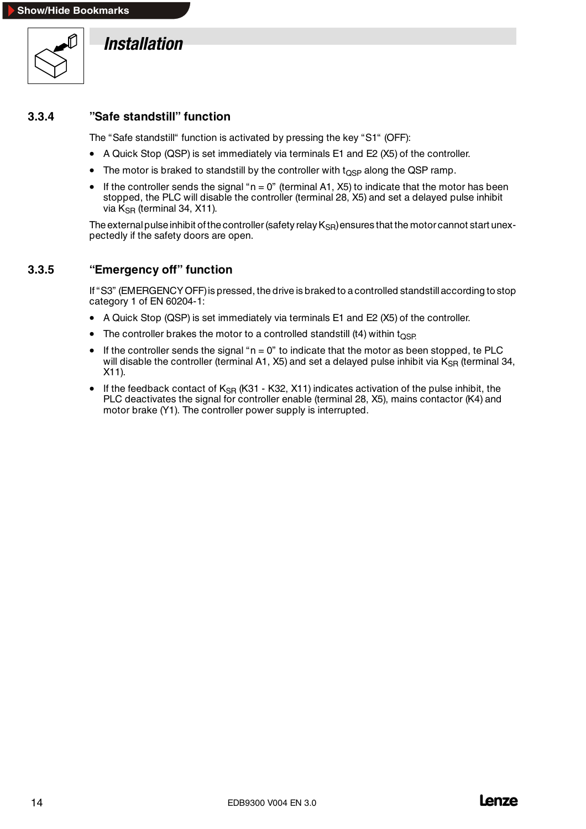<span id="page-17-0"></span>

#### **3.3.4 "Safe standstill" function**

The "Safe standstill" function is activated by pressing the key "S1" (OFF):

- A Quick Stop (QSP) is set immediately via terminals E1 and E2 (X5) of the controller.
- The motor is braked to standstill by the controller with  $t_{\Omega SP}$  along the QSP ramp.
- If the controller sends the signal " $n = 0$ " (terminal A1, X5) to indicate that the motor has been stopped, the PLC will disable the controller (terminal 28, X5) and set a delayed pulse inhibit via  $K_{\text{SR}}$  (terminal 34, X11).

The external pulse inhibit of the controller (safety relay  $K_{SR}$ ) ensures that the motor cannot start unexpectedly if the safety doors are open.

#### **3.3.5 "Emergency off" function**

If "S3" (EMERGENCY OFF)is pressed, the drive is braked to acontrolled standstillaccording to stop category 1 of EN 60204-1:

- A Quick Stop (QSP) is set immediately via terminals E1 and E2 (X5) of the controller.
- The controller brakes the motor to a controlled standstill (t4) within  $t_{\text{OSP}}$
- If the controller sends the signal " $n = 0$ " to indicate that the motor as been stopped, te PLC will disable the controller (terminal A1, X5) and set a delayed pulse inhibit via  $K_{SR}$  (terminal 34, X11).
- If the feedback contact of  $K_{\text{SR}}$  (K31 K32, X11) indicates activation of the pulse inhibit, the PLC deactivates the signal for controller enable (terminal 28, X5), mains contactor (K4) and motor brake (Y1). The controller power supply is interrupted.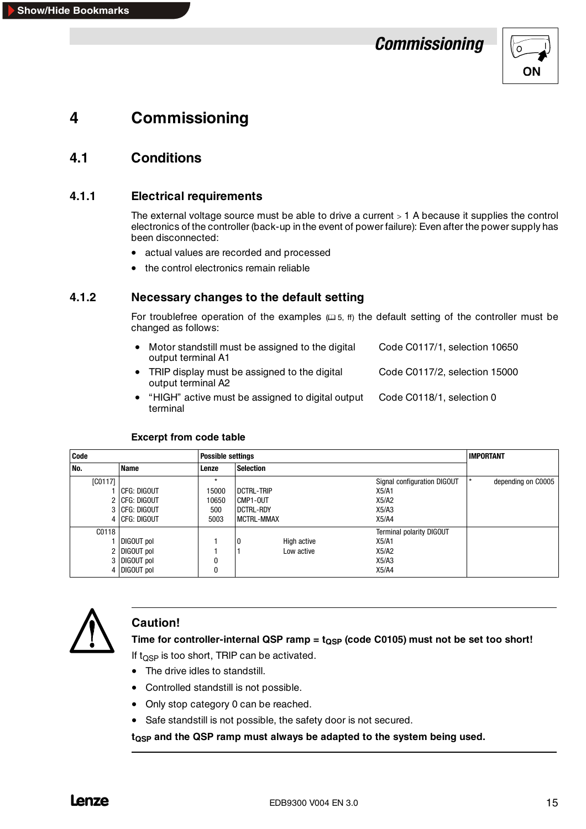## *Commissioning*



# <span id="page-18-0"></span>**4 Commissioning**

## **4.1 Conditions**

#### **4.1.1 Electrical requirements**

The external voltage source must be able to drive a current  $> 1$  A because it supplies the control electronics of the controller (back-up in the event of power failure): Even after the power supply has been disconnected:

- actual values are recorded and processed
- the control electronics remain reliable

#### **4.1.2 Necessary changes to the default setting**

For troublefree operation of the examples  $( \square 5, ff)$  the default setting of the controller must be changed as follows:

| • Motor standstill must be assigned to the digital<br>output terminal A1 | Code C0117/1, selection 10650 |
|--------------------------------------------------------------------------|-------------------------------|
| • TRIP display must be assigned to the digital<br>output terminal A2     | Code C0117/2, selection 15000 |

• "HIGH" active must be assigned to digital output Code C0118/1, selection 0 terminal

#### **Excerpt from code table**

| Code    |                 | <b>Possible settings</b> |                   |                                 | <b>IMPORTANT</b>   |  |
|---------|-----------------|--------------------------|-------------------|---------------------------------|--------------------|--|
| No.     | <b>Name</b>     | Lenze                    | <b>Selection</b>  |                                 |                    |  |
| [CO117] |                 | $\star$                  |                   | Signal configuration DIGOUT     | depending on C0005 |  |
|         | CFG: DIGOUT     | 15000                    | <b>DCTRL-TRIP</b> | X5/A1                           |                    |  |
|         | 2 CFG: DIGOUT   | 10650                    | CMP1-OUT          | X5/A2                           |                    |  |
|         | 3 CFG: DIGOUT   | 500                      | <b>DCTRL-RDY</b>  | X5/A3                           |                    |  |
|         | 4 I CFG: DIGOUT | 5003                     | <b>MCTRL-MMAX</b> | X5/A4                           |                    |  |
| C0118   |                 |                          |                   | <b>Terminal polarity DIGOUT</b> |                    |  |
|         | DIGOUT pol      |                          | High active       | X5/A1                           |                    |  |
|         | 2 DIGOUT pol    |                          | Low active        | X5/A2                           |                    |  |
|         | 3 DIGOUT pol    | 0                        |                   | X5/A3                           |                    |  |
|         | 4 DIGOUT pol    | 0                        |                   | X5/A4                           |                    |  |



#### **Caution!**

Time for controller-internal QSP ramp =  $t_{\text{QSP}}$  (code C0105) must not be set too short! If  $t_{\text{OSP}}$  is too short, TRIP can be activated.

- 
- The drive idles to standstill.
- Controlled standstill is not possible.
- Only stop category 0 can be reached.
- Safe standstill is not possible, the safety door is not secured.

**tQSP and the QSP ramp must always be adapted to the system being used.**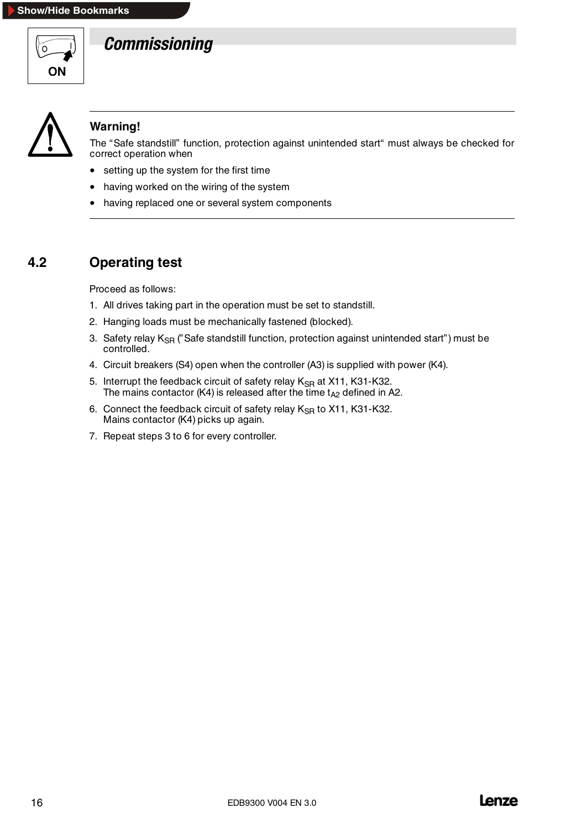<span id="page-19-0"></span>

# *Commissioning*



## **Warning!**

The "Safe standstill" function, protection against unintended start" must always be checked for correct operation when

- setting up the system for the first time
- having worked on the wiring of the system
- having replaced one or several system components

## **4.2 Operating test**

Proceed as follows:

- 1. All drives taking part in the operation must be set to standstill.
- 2. Hanging loads must be mechanically fastened (blocked).
- 3. Safety relay  $K_{\text{SR}}$  ("Safe standstill function, protection against unintended start") must be controlled.
- 4. Circuit breakers (S4) open when the controller (A3) is supplied with power (K4).
- 5. Interrupt the feedback circuit of safety relay K<sub>SR</sub> at X11, K31-K32. The mains contactor (K4) is released after the time  $t_{A2}$  defined in A2.
- 6. Connect the feedback circuit of safety relay  $K_{\rm SR}$  to X11, K31-K32. Mains contactor (K4) picks up again.
- 7. Repeat steps 3 to 6 for every controller.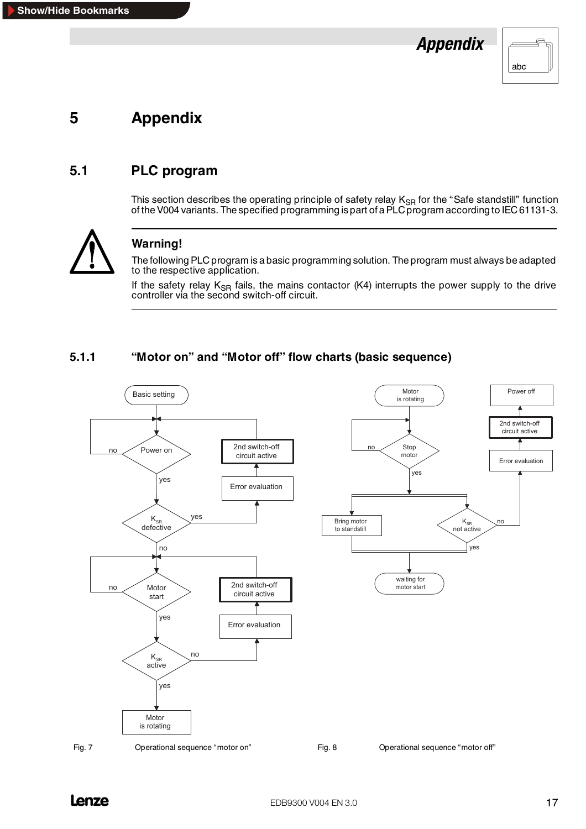

# <span id="page-20-0"></span>**5 Appendix**

## **5.1 PLC program**

This section describes the operating principle of safety relay K<sub>SR</sub> for the "Safe standstill" function of the V004 variants. The specified programming is part of a PLC program according to IEC 61131-3.



## **Warning!**

The following PLC program is a basic programming solution. The program must always be adapted to the respective application.

If the safety relay  $K_{\text{SR}}$  fails, the mains contactor (K4) interrupts the power supply to the drive controller via the second switch-off circuit.

#### **5.1.1 "Motor on" and "Motor off" flow charts (basic sequence)**

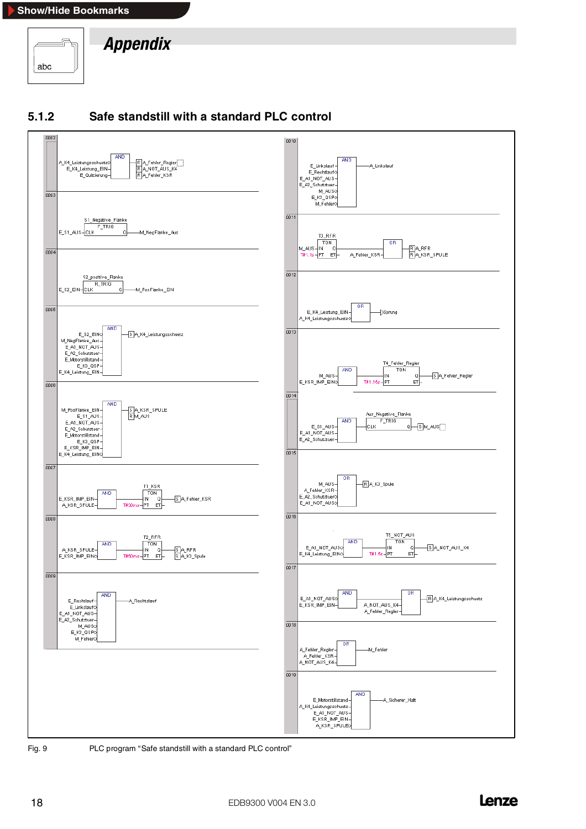<span id="page-21-0"></span>







Fig. 9 PLC program "Safe standstill with a standard PLC control"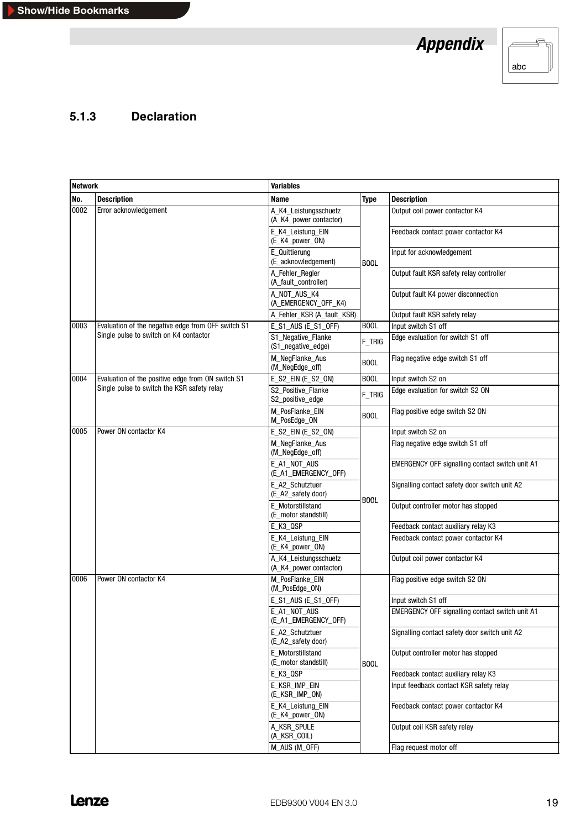*Appendix*



## <span id="page-22-0"></span>**5.1.3 Declaration**

| <b>Network</b> |                                                                                              | <b>Variables</b>                                |             |                                                 |
|----------------|----------------------------------------------------------------------------------------------|-------------------------------------------------|-------------|-------------------------------------------------|
| No.            | <b>Description</b>                                                                           | Name                                            | <b>Type</b> | <b>Description</b>                              |
| 0002           | Error acknowledgement                                                                        | A K4 Leistungsschuetz<br>(A_K4_power contactor) |             | Output coil power contactor K4                  |
|                |                                                                                              | E K4 Leistung EIN<br>(E_K4_power_ON)            |             | Feedback contact power contactor K4             |
|                |                                                                                              | E_Quittierung<br>(E_acknowledgement)            | <b>BOOL</b> | Input for acknowledgement                       |
|                |                                                                                              | A_Fehler_Regler<br>(A fault controller)         |             | Output fault KSR safety relay controller        |
|                |                                                                                              | A_NOT_AUS_K4<br>(A_EMERGENCY_OFF_K4)            |             | Output fault K4 power disconnection             |
|                |                                                                                              | A_Fehler_KSR (A_fault_KSR)                      |             | Output fault KSR safety relay                   |
| 0003           | Evaluation of the negative edge from OFF switch S1<br>Single pulse to switch on K4 contactor | E_S1_AUS (E_S1_OFF)                             | <b>BOOL</b> | Input switch S1 off                             |
|                |                                                                                              | S1_Negative_Flanke<br>(S1_negative_edge)        | $F_T$ TRIG  | Edge evaluation for switch S1 off               |
|                |                                                                                              | M_NegFlanke_Aus<br>(M_NegEdge_off)              | <b>BOOL</b> | Flag negative edge switch S1 off                |
| 0004           | Evaluation of the positive edge from ON switch S1                                            | E_S2_EIN (E_S2_ON)                              | <b>BOOL</b> | Input switch S2 on                              |
|                | Single pulse to switch the KSR safety relay                                                  | S2_Positive_Flanke<br>S2 positive edge          | F_TRIG      | Edge evaluation for switch S2 ON                |
|                |                                                                                              | M_PosFlanke_EIN<br>M PosEdge ON                 | <b>BOOL</b> | Flag positive edge switch S2 ON                 |
| 0005           | Power ON contactor K4                                                                        | E_S2_EIN (E_S2_ON)                              | <b>BOOL</b> | Input switch S2 on                              |
|                |                                                                                              | M_NegFlanke_Aus<br>(M_NegEdge_off)              |             | Flag negative edge switch S1 off                |
|                |                                                                                              | E_A1_NOT_AUS<br>(E_A1_EMERGENCY_OFF)            |             | EMERGENCY OFF signalling contact switch unit A1 |
|                |                                                                                              | E_A2_Schutztuer<br>(E_A2_safety door)           |             | Signalling contact safety door switch unit A2   |
|                |                                                                                              | E_Motorstillstand<br>(E_motor standstill)       |             | Output controller motor has stopped             |
|                |                                                                                              | E_K3_QSP                                        |             | Feedback contact auxiliary relay K3             |
|                |                                                                                              | E_K4_Leistung_EIN<br>(E_K4_power_ON)            |             | Feedback contact power contactor K4             |
|                |                                                                                              | A_K4_Leistungsschuetz<br>(A_K4_power contactor) |             | Output coil power contactor K4                  |
| 0006           | Power ON contactor K4                                                                        | M_PosFlanke_EIN<br>(M_PosEdge_ON)               |             | Flag positive edge switch S2 ON                 |
|                |                                                                                              | E_S1_AUS (E_S1_OFF)                             |             | Input switch S1 off                             |
|                |                                                                                              | E_A1_NOT_AUS<br>(E_A1_EMERGENCY_OFF)            |             | EMERGENCY OFF signalling contact switch unit A1 |
|                |                                                                                              | E_A2_Schutztuer<br>(E_A2_safety door)           |             | Signalling contact safety door switch unit A2   |
|                |                                                                                              | E Motorstillstand<br>(E_motor standstill)       | <b>BOOL</b> | Output controller motor has stopped             |
|                |                                                                                              | E_K3_QSP                                        |             | Feedback contact auxiliary relay K3             |
|                |                                                                                              | E_KSR_IMP_EIN<br>(E_KSR_IMP_ON)                 |             | Input feedback contact KSR safety relay         |
|                |                                                                                              | E_K4_Leistung_EIN<br>(E_K4_power_ON)            |             | Feedback contact power contactor K4             |
|                |                                                                                              | A_KSR_SPULE<br>(A_KSR_COIL)                     |             | Output coil KSR safety relay                    |
|                |                                                                                              | M_AUS (M_OFF)                                   |             | Flag request motor off                          |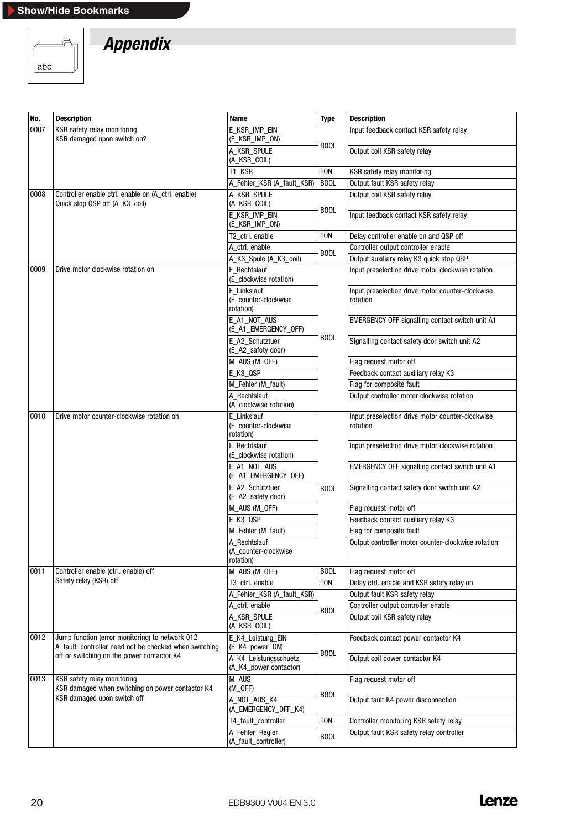

| No.  | <b>Description</b>                                                                                       | Name                                              | <b>Type</b> | <b>Description</b>                                           |
|------|----------------------------------------------------------------------------------------------------------|---------------------------------------------------|-------------|--------------------------------------------------------------|
| 0007 | KSR safety relay monitoring                                                                              | E_KSR_IMP_EIN                                     |             | Input feedback contact KSR safety relay                      |
|      | KSR damaged upon switch on?                                                                              | (E_KSR_IMP_ON)                                    | <b>BOOL</b> |                                                              |
|      |                                                                                                          | A_KSR_SPULE<br>(A_KSR_COIL)                       |             | Output coil KSR safety relay                                 |
|      |                                                                                                          | T1_KSR                                            | <b>TON</b>  | KSR safety relay monitoring                                  |
|      |                                                                                                          | A_Fehler_KSR (A_fault_KSR)                        | <b>BOOL</b> | Output fault KSR safety relay                                |
| 0008 | Controller enable ctrl. enable on (A_ctrl. enable)<br>Quick stop QSP off (A_K3_coil)                     | A_KSR_SPULE<br>(A_KSR_COIL)                       |             | Output coil KSR safety relay                                 |
|      |                                                                                                          | E_KSR_IMP_EIN<br>(E_KSR_IMP_ON)                   | <b>BOOL</b> | Input feedback contact KSR safety relay                      |
|      |                                                                                                          | T2 ctrl. enable                                   | <b>TON</b>  | Delay controller enable on and QSP off                       |
|      |                                                                                                          | A ctrl. enable                                    | <b>BOOL</b> | Controller output controller enable                          |
|      |                                                                                                          | A_K3_Spule (A_K3_coil)                            |             | Output auxiliary relay K3 quick stop QSP                     |
| 0009 | Drive motor clockwise rotation on                                                                        | E Rechtslauf<br>(E_clockwise rotation)            |             | Input preselection drive motor clockwise rotation            |
|      |                                                                                                          | E Linkslauf<br>(E_counter-clockwise<br>rotation)  |             | Input preselection drive motor counter-clockwise<br>rotation |
|      |                                                                                                          | E_A1_NOT_AUS<br>(E_A1_EMERGENCY_OFF)              |             | EMERGENCY OFF signalling contact switch unit A1              |
|      |                                                                                                          | E_A2_Schutztuer<br>(E_A2_safety door)             | <b>BOOL</b> | Signalling contact safety door switch unit A2                |
|      |                                                                                                          | M_AUS (M_OFF)                                     |             | Flag request motor off                                       |
|      |                                                                                                          | E_K3_QSP                                          |             | Feedback contact auxiliary relay K3                          |
|      |                                                                                                          | M_Fehler (M_fault)                                |             | Flag for composite fault                                     |
|      |                                                                                                          | A Rechtslauf<br>(A_clockwise rotation)            |             | Output controller motor clockwise rotation                   |
| 0010 | Drive motor counter-clockwise rotation on                                                                | E Linkslauf<br>(E_counter-clockwise<br>rotation)  |             | Input preselection drive motor counter-clockwise<br>rotation |
|      |                                                                                                          | E_Rechtslauf<br>(E_clockwise rotation)            | <b>BOOL</b> | Input preselection drive motor clockwise rotation            |
|      |                                                                                                          | E_A1_NOT_AUS<br>(E_A1_EMERGENCY_OFF)              |             | EMERGENCY OFF signalling contact switch unit A1              |
|      |                                                                                                          | E A2 Schutztuer<br>(E_A2_safety door)             |             | Signalling contact safety door switch unit A2                |
|      |                                                                                                          | M_AUS (M_OFF)                                     |             | Flag request motor off                                       |
|      |                                                                                                          | E_K3_QSP                                          |             | Feedback contact auxiliary relay K3                          |
|      |                                                                                                          | M_Fehler (M_fault)                                |             | Flag for composite fault                                     |
|      |                                                                                                          | A_Rechtslauf<br>(A counter-clockwise<br>rotation) |             | Output controller motor counter-clockwise rotation           |
| 0011 | Controller enable (ctrl. enable) off                                                                     | M_AUS (M_OFF)                                     | <b>BOOL</b> | Flag request motor off                                       |
|      | Safety relay (KSR) off                                                                                   | T3 ctrl. enable                                   | <b>TON</b>  | Delay ctrl. enable and KSR safety relay on                   |
|      |                                                                                                          | A_Fehler_KSR (A_fault_KSR)                        |             | Output fault KSR safety relay                                |
|      |                                                                                                          | A_ctrl. enable                                    | <b>BOOL</b> | Controller output controller enable                          |
|      |                                                                                                          | A_KSR_SPULE<br>(A_KSR_COIL)                       |             | Output coil KSR safety relay                                 |
| 0012 | Jump function (error monitoring) to network 012<br>A_fault_controller need not be checked when switching | E_K4_Leistung_EIN<br>(E_K4_power_ON)              |             | Feedback contact power contactor K4                          |
|      | off or switching on the power contactor K4                                                               | A K4 Leistungsschuetz<br>(A_K4_power contactor)   | <b>BOOL</b> | Output coil power contactor K4                               |
| 0013 | KSR safety relay monitoring<br>KSR damaged when switching on power contactor K4                          | M_AUS<br>$(M_OFF)$                                |             | Flag request motor off                                       |
|      | KSR damaged upon switch off                                                                              | A NOT AUS K4<br>(A_EMERGENCY_OFF_K4)              | <b>BOOL</b> | Output fault K4 power disconnection                          |
|      |                                                                                                          | T4_fault_controller                               | <b>TON</b>  | Controller monitoring KSR safety relay                       |
|      |                                                                                                          | A_Fehler_Regler<br>(A_fault_controller)           | <b>BOOL</b> | Output fault KSR safety relay controller                     |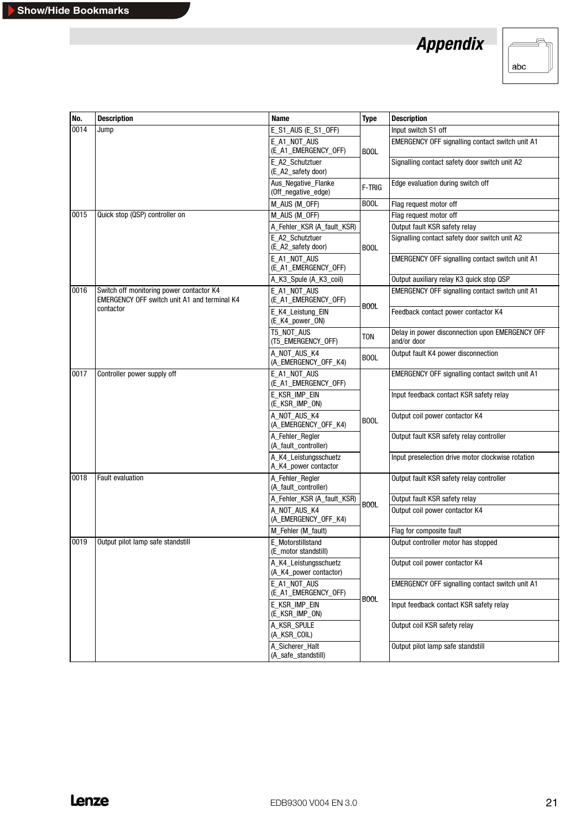

| No.  | <b>Description</b>                                                                              | <b>Name</b>                                     | <b>Type</b> | <b>Description</b>                                             |
|------|-------------------------------------------------------------------------------------------------|-------------------------------------------------|-------------|----------------------------------------------------------------|
| 0014 | Jump                                                                                            | E_S1_AUS (E_S1_OFF)                             |             | Input switch S1 off                                            |
|      |                                                                                                 | E_A1_NOT_AUS<br>(E_A1_EMERGENCY_OFF)            | <b>BOOL</b> | EMERGENCY OFF signalling contact switch unit A1                |
|      |                                                                                                 | E A2 Schutztuer<br>(E_A2_safety door)           |             | Signalling contact safety door switch unit A2                  |
|      |                                                                                                 | Aus_Negative_Flanke<br>(Off_negative_edge)      | F-TRIG      | Edge evaluation during switch off                              |
|      |                                                                                                 | M_AUS (M_OFF)                                   | <b>BOOL</b> | Flag request motor off                                         |
| 0015 | Quick stop (QSP) controller on                                                                  | M_AUS (M_OFF)                                   |             | Flag request motor off                                         |
|      |                                                                                                 | A_Fehler_KSR (A_fault_KSR)                      |             | Output fault KSR safety relay                                  |
|      |                                                                                                 | E A2 Schutztuer<br>(E_A2_safety door)           | <b>BOOL</b> | Signalling contact safety door switch unit A2                  |
|      |                                                                                                 | E_A1_NOT_AUS<br>(E_A1_EMERGENCY_OFF)            |             | EMERGENCY OFF signalling contact switch unit A1                |
|      |                                                                                                 | A_K3_Spule (A_K3_coil)                          |             | Output auxiliary relay K3 quick stop QSP                       |
| 0016 | Switch off monitoring power contactor K4<br><b>EMERGENCY OFF switch unit A1 and terminal K4</b> | E_A1_NOT_AUS<br>(E_A1_EMERGENCY_OFF)            | <b>BOOL</b> | EMERGENCY OFF signalling contact switch unit A1                |
|      | contactor                                                                                       | E_K4_Leistung_EIN<br>(E_K4_power_ON)            |             | Feedback contact power contactor K4                            |
|      |                                                                                                 | T5_NOT_AUS<br>(T5_EMERGENCY_OFF)                | <b>TON</b>  | Delay in power disconnection upon EMERGENCY OFF<br>and/or door |
|      |                                                                                                 | A_NOT_AUS_K4<br>(A_EMERGENCY_OFF_K4)            | <b>BOOL</b> | Output fault K4 power disconnection                            |
| 0017 | Controller power supply off                                                                     | E_A1_NOT_AUS<br>(E_A1_EMERGENCY_OFF)            |             | EMERGENCY OFF signalling contact switch unit A1                |
|      |                                                                                                 | E_KSR_IMP_EIN<br>(E_KSR_IMP_ON)                 | <b>BOOL</b> | Input feedback contact KSR safety relay                        |
|      |                                                                                                 | A_NOT_AUS_K4<br>(A_EMERGENCY_OFF_K4)            |             | Output coil power contactor K4                                 |
|      |                                                                                                 | A Fehler Regler<br>(A_fault_controller)         |             | Output fault KSR safety relay controller                       |
|      |                                                                                                 | A_K4_Leistungsschuetz<br>A_K4_power contactor   |             | Input preselection drive motor clockwise rotation              |
| 0018 | <b>Fault evaluation</b>                                                                         | A_Fehler_Regler<br>(A_fault_controller)         |             | Output fault KSR safety relay controller                       |
|      |                                                                                                 | A_Fehler_KSR (A_fault_KSR)                      | <b>BOOL</b> | Output fault KSR safety relay                                  |
|      |                                                                                                 | A_NOT_AUS_K4<br>(A EMERGENCY OFF K4)            |             | Output coil power contactor K4                                 |
|      |                                                                                                 | M_Fehler (M_fault)                              |             | Flag for composite fault                                       |
| 0019 | Output pilot lamp safe standstill                                                               | E Motorstillstand<br>(E_motor standstill)       |             | Output controller motor has stopped                            |
|      |                                                                                                 | A_K4_Leistungsschuetz<br>(A_K4_power contactor) |             | Output coil power contactor K4                                 |
|      |                                                                                                 | E A1 NOT AUS<br>(E_A1_EMERGENCY_OFF)            |             | EMERGENCY OFF signalling contact switch unit A1                |
|      |                                                                                                 | E_KSR_IMP_EIN<br>(E_KSR_IMP_ON)                 | <b>BOOL</b> | Input feedback contact KSR safety relay                        |
|      |                                                                                                 | A_KSR_SPULE<br>(A_KSR_COIL)                     |             | Output coil KSR safety relay                                   |
|      |                                                                                                 | A_Sicherer_Halt<br>(A_safe_standstill)          |             | Output pilot lamp safe standstill                              |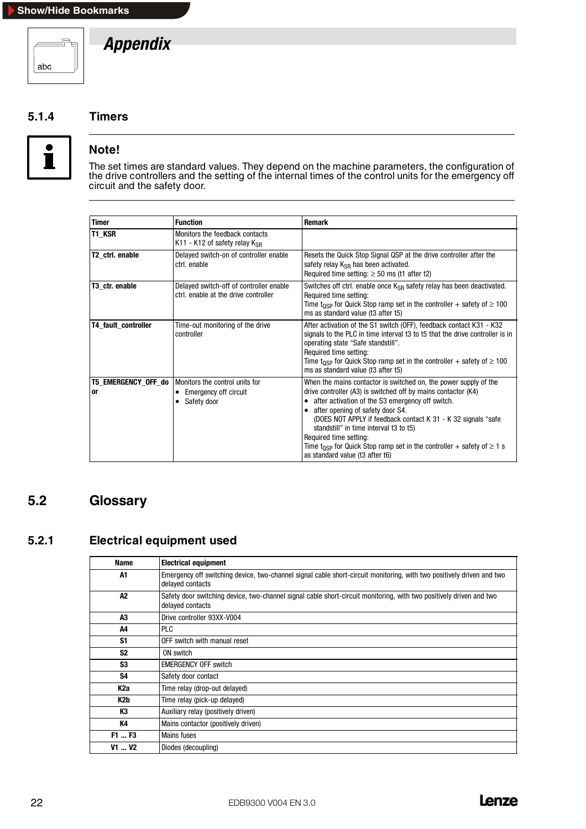<span id="page-25-0"></span>

#### **5.1.4 Timers**



#### **Note!**

The set times are standard values. They depend on the machine parameters, the configuration of the drive controllers and the setting of the internal times of the control units for the emergency off circuit and the safety door.

| <b>Timer</b>              | <b>Function</b>                                                                          | Remark                                                                                                                                                                                                                                                                                                                                                                                                                                                                                          |
|---------------------------|------------------------------------------------------------------------------------------|-------------------------------------------------------------------------------------------------------------------------------------------------------------------------------------------------------------------------------------------------------------------------------------------------------------------------------------------------------------------------------------------------------------------------------------------------------------------------------------------------|
| T1 KSR                    | Monitors the feedback contacts<br>K11 - K12 of safety relay $K_{\rm SR}$                 |                                                                                                                                                                                                                                                                                                                                                                                                                                                                                                 |
| T2 ctrl. enable           | Delayed switch-on of controller enable<br>ctrl. enable                                   | Resets the Quick Stop Signal QSP at the drive controller after the<br>safety relay $K_{\rm SR}$ has been activated.<br>Required time setting: $\geq$ 50 ms (t1 after t2)                                                                                                                                                                                                                                                                                                                        |
| T3 ctr. enable            | Delayed switch-off of controller enable<br>ctrl, enable at the drive controller          | Switches off ctrl. enable once K <sub>SB</sub> safety relay has been deactivated.<br>Required time setting:<br>Time t <sub>OSP</sub> for Quick Stop ramp set in the controller + safety of $\geq 100$<br>ms as standard value (t3 after t5)                                                                                                                                                                                                                                                     |
| T4_fault_controller       | Time-out monitoring of the drive<br>controller                                           | After activation of the S1 switch (OFF), feedback contact K31 - K32<br>signals to the PLC in time interval t3 to t5 that the drive controller is in<br>operating state "Safe standstill".<br>Required time setting:<br>Time t <sub>OSP</sub> for Quick Stop ramp set in the controller + safety of $\geq 100$<br>ms as standard value (t3 after t5)                                                                                                                                             |
| T5_EMERGENCY_OFF_do<br>or | Monitors the control units for<br>Emergency off circuit<br>٠<br>Safety door<br>$\bullet$ | When the mains contactor is switched on, the power supply of the<br>drive controller (A3) is switched off by mains contactor (K4)<br>• after activation of the S3 emergency off switch.<br>• after opening of safety door S4.<br>(DOES NOT APPLY if feedback contact K 31 - K 32 signals "safe<br>standstill" in time interval t3 to t5)<br>Required time setting:<br>Time t <sub>OSP</sub> for Quick Stop ramp set in the controller + safety of $\geq 1$ s<br>as standard value (t3 after t6) |

## **5.2 Glossary**

## **5.2.1 Electrical equipment used**

| <b>Name</b>                   | <b>Electrical equipment</b>                                                                                                               |
|-------------------------------|-------------------------------------------------------------------------------------------------------------------------------------------|
| A1                            | Emergency off switching device, two-channel signal cable short-circuit monitoring, with two positively driven and two<br>delayed contacts |
| A2                            | Safety door switching device, two-channel signal cable short-circuit monitoring, with two positively driven and two<br>delayed contacts   |
| A3                            | Drive controller 93XX-V004                                                                                                                |
| A4                            | <b>PLC</b>                                                                                                                                |
| S <sub>1</sub>                | OFF switch with manual reset                                                                                                              |
| S <sub>2</sub>                | ON switch                                                                                                                                 |
| S3                            | <b>EMERGENCY OFF switch</b>                                                                                                               |
| S4                            | Safety door contact                                                                                                                       |
| K <sub>2a</sub>               | Time relay (drop-out delayed)                                                                                                             |
| K2b                           | Time relay (pick-up delayed)                                                                                                              |
| ΚЗ                            | Auxiliary relay (positively driven)                                                                                                       |
| K4                            | Mains contactor (positively driven)                                                                                                       |
| F1  F3                        | <b>Mains fuses</b>                                                                                                                        |
| V <sub>1</sub> V <sub>2</sub> | Diodes (decoupling)                                                                                                                       |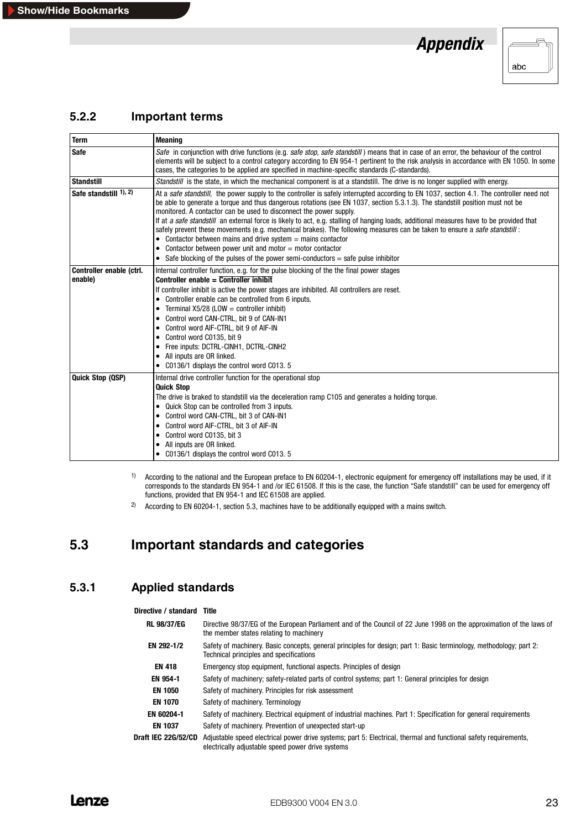

#### <span id="page-26-0"></span>**5.2.2 Important terms**

| <b>Term</b>                                                                                                                                                                                                                                                                                                                                                                                                                                                                                                                                                                                                                                                                                                                                                                           | <b>Meaning</b>                                                                                                                                                                                                                                                                                                                                                                                                                                                                                                                                                                                                                             |  |  |
|---------------------------------------------------------------------------------------------------------------------------------------------------------------------------------------------------------------------------------------------------------------------------------------------------------------------------------------------------------------------------------------------------------------------------------------------------------------------------------------------------------------------------------------------------------------------------------------------------------------------------------------------------------------------------------------------------------------------------------------------------------------------------------------|--------------------------------------------------------------------------------------------------------------------------------------------------------------------------------------------------------------------------------------------------------------------------------------------------------------------------------------------------------------------------------------------------------------------------------------------------------------------------------------------------------------------------------------------------------------------------------------------------------------------------------------------|--|--|
| <b>Safe</b>                                                                                                                                                                                                                                                                                                                                                                                                                                                                                                                                                                                                                                                                                                                                                                           | Safe in conjunction with drive functions (e.g. safe stop, safe standstill) means that in case of an error, the behaviour of the control<br>elements will be subject to a control category according to EN 954-1 pertinent to the risk analysis in accordance with EN 1050. In some<br>cases, the categories to be applied are specified in machine-specific standards (C-standards).                                                                                                                                                                                                                                                       |  |  |
| <b>Standstill</b>                                                                                                                                                                                                                                                                                                                                                                                                                                                                                                                                                                                                                                                                                                                                                                     | <i>Standstill</i> is the state, in which the mechanical component is at a standstill. The drive is no longer supplied with energy.                                                                                                                                                                                                                                                                                                                                                                                                                                                                                                         |  |  |
| Safe standstill $1, 2$<br>At a safe standstill, the power supply to the controller is safely interrupted according to EN 1037, section 4.1. The controller need not<br>be able to generate a torque and thus dangerous rotations (see EN 1037, section 5.3.1.3). The standstill position must not be<br>monitored. A contactor can be used to disconnect the power supply.<br>If at a safe standstill an external force is likely to act, e.g. stalling of hanging loads, additional measures have to be provided that<br>safely prevent these movements (e.g. mechanical brakes). The following measures can be taken to ensure a safe standstill:<br>• Contactor between mains and drive system $=$ mains contactor<br>• Contactor between power unit and motor $=$ motor contactor |                                                                                                                                                                                                                                                                                                                                                                                                                                                                                                                                                                                                                                            |  |  |
|                                                                                                                                                                                                                                                                                                                                                                                                                                                                                                                                                                                                                                                                                                                                                                                       | • Safe blocking of the pulses of the power semi-conductors $=$ safe pulse inhibitor                                                                                                                                                                                                                                                                                                                                                                                                                                                                                                                                                        |  |  |
| Controller enable (ctrl.<br>enable)                                                                                                                                                                                                                                                                                                                                                                                                                                                                                                                                                                                                                                                                                                                                                   | Internal controller function, e.g. for the pulse blocking of the the final power stages<br>Controller enable $=$ Controller inhibit<br>If controller inhibit is active the power stages are inhibited. All controllers are reset.<br>• Controller enable can be controlled from 6 inputs.<br>Terminal $X5/28$ (LOW = controller inhibit)<br>$\bullet$<br>Control word CAN-CTRL, bit 9 of CAN-IN1<br>$\bullet$<br>• Control word AIF-CTRL, bit 9 of AIF-IN<br>Control word C0135, bit 9<br>٠<br>Free inputs: DCTRL-CINH1, DCTRL-CINH2<br>$\bullet$<br>All inputs are OR linked.<br>$\bullet$<br>• C0136/1 displays the control word C013. 5 |  |  |
| Quick Stop (QSP)                                                                                                                                                                                                                                                                                                                                                                                                                                                                                                                                                                                                                                                                                                                                                                      | Internal drive controller function for the operational stop<br><b>Quick Stop</b><br>The drive is braked to standstill via the deceleration ramp C105 and generates a holding torque.<br>• Quick Stop can be controlled from 3 inputs.<br>• Control word CAN-CTRL, bit 3 of CAN-IN1<br>Control word AIF-CTRL, bit 3 of AIF-IN<br>$\bullet$<br>Control word C0135, bit 3<br>$\bullet$<br>All inputs are OR linked.<br>٠<br>• C0136/1 displays the control word C013. 5                                                                                                                                                                       |  |  |

<sup>1)</sup> According to the national and the European preface to EN 60204-1, electronic equipment for emergency off installations may be used, if it corresponds to the standards EN 954-1 and /or IEC 61508. If this is the case, the function "Safe standstill" can be used for emergency off functions, provided that EN 954-1 and IEC 61508 are applied.

<sup>2)</sup> According to EN 60204-1, section 5.3, machines have to be additionally equipped with a mains switch.

## **5.3 Important standards and categories**

#### **5.3.1 Applied standards**

#### **Directive / standard Title RL 98/37/EG** Directive 98/37/EG of the European Parliament and of the Council of 22 June 1998 on the approximation of the laws of the member states relating to machinery **EN 292-1/2** Safety of machinery. Basic concepts, general principles for design; part 1: Basic terminology, methodology; part 2: Technical principles and specifications **EN 418** Emergency stop equipment, functional aspects. Principles of design **EN 954-1** Safety of machinery; safety-related parts of control systems; part 1: General principles for design **EN 1050** Safety of machinery. Principles for risk assessment **EN 1070** Safety of machinery. Terminology **EN 60204-1** Safety of machinery. Electrical equipment of industrial machines. Part 1: Specification for general requirements **EN 1037** Safety of machinery. Prevention of unexpected start-up **Draft IEC 22G/52/CD** Adjustable speed electrical power drive systems; part 5: Electrical, thermal and functional safety requirements, electrically adjustable speed power drive systems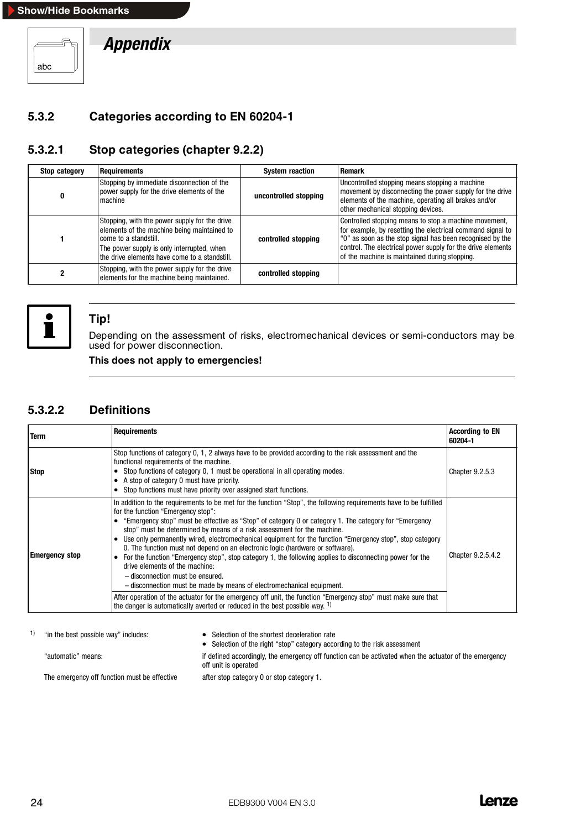#### <span id="page-27-0"></span>**Show/Hide Bookmarks**



*Appendix*

#### **5.3.2 Categories according to EN 60204-1**

## **5.3.2.1 Stop categories (chapter 9.2.2)**

| Stop category | <b>Requirements</b>                                                                                                                                                                                                  | <b>System reaction</b> | Remark                                                                                                                                                                                                                                                                                           |
|---------------|----------------------------------------------------------------------------------------------------------------------------------------------------------------------------------------------------------------------|------------------------|--------------------------------------------------------------------------------------------------------------------------------------------------------------------------------------------------------------------------------------------------------------------------------------------------|
|               | Stopping by immediate disconnection of the<br>power supply for the drive elements of the<br>machine                                                                                                                  | uncontrolled stopping  | Uncontrolled stopping means stopping a machine<br>movement by disconnecting the power supply for the drive<br>elements of the machine, operating all brakes and/or<br>other mechanical stopping devices.                                                                                         |
|               | Stopping, with the power supply for the drive<br>elements of the machine being maintained to<br>come to a standstill.<br>The power supply is only interrupted, when<br>the drive elements have come to a standstill. | controlled stopping    | Controlled stopping means to stop a machine movement,<br>for example, by resetting the electrical command signal to<br>"0" as soon as the stop signal has been recognised by the<br>control. The electrical power supply for the drive elements<br>of the machine is maintained during stopping. |
|               | Stopping, with the power supply for the drive<br>elements for the machine being maintained.                                                                                                                          | controlled stopping    |                                                                                                                                                                                                                                                                                                  |



#### **Tip!**

Depending on the assessment of risks, electromechanical devices or semi-conductors may be used for power disconnection.

**This does not apply to emergencies!**

#### **5.3.2.2 Definitions**

| <b>Term</b>           | <b>Requirements</b>                                                                                                                                                                                                                                                                                                                                                                                                                                                                                                                                                                                                                                                                                                                                                                                                                                                                                                                                                                                                    | <b>According to EN</b><br>60204-1 |
|-----------------------|------------------------------------------------------------------------------------------------------------------------------------------------------------------------------------------------------------------------------------------------------------------------------------------------------------------------------------------------------------------------------------------------------------------------------------------------------------------------------------------------------------------------------------------------------------------------------------------------------------------------------------------------------------------------------------------------------------------------------------------------------------------------------------------------------------------------------------------------------------------------------------------------------------------------------------------------------------------------------------------------------------------------|-----------------------------------|
| <b>Stop</b>           | Stop functions of category 0, 1, 2 always have to be provided according to the risk assessment and the<br>functional requirements of the machine.<br>• Stop functions of category 0, 1 must be operational in all operating modes.<br>A stop of category 0 must have priority.<br>$\bullet$<br>• Stop functions must have priority over assigned start functions.                                                                                                                                                                                                                                                                                                                                                                                                                                                                                                                                                                                                                                                      | <b>Chapter 9.2.5.3</b>            |
| <b>Emergency stop</b> | In addition to the requirements to be met for the function "Stop", the following requirements have to be fulfilled<br>for the function "Emergency stop":<br>"Emergency stop" must be effective as "Stop" of category 0 or category 1. The category for "Emergency"<br>stop" must be determined by means of a risk assessment for the machine.<br>Use only permanently wired, electromechanical equipment for the function "Emergency stop", stop category<br>0. The function must not depend on an electronic logic (hardware or software).<br>For the function "Emergency stop", stop category 1, the following applies to disconnecting power for the<br>$\bullet$<br>drive elements of the machine:<br>- disconnection must be ensured.<br>- disconnection must be made by means of electromechanical equipment.<br>After operation of the actuator for the emergency off unit, the function "Emergency stop" must make sure that<br>the danger is automatically averted or reduced in the best possible way. $1$ ) | Chapter 9.2.5.4.2                 |

1) "in the best possible way" includes: • • Selection of the shortest deceleration rate

• Selection of the right "stop" category according to the risk assessment "automatic" means: if defined accordingly, the emergency off function can be activated when the actuator of the emergency

The emergency off function must be effective after stop category 0 or stop category 1.

off unit is operated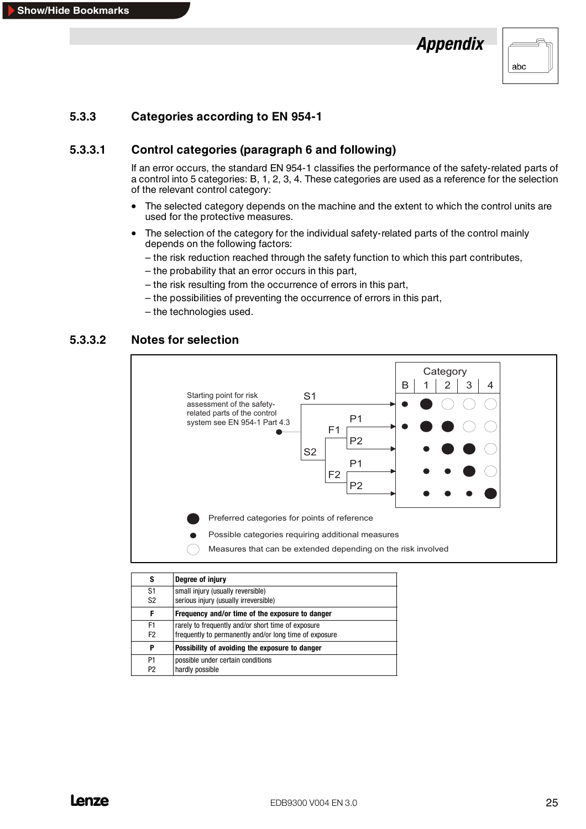

## <span id="page-28-0"></span>**5.3.3 Categories according to EN 954-1**

#### **5.3.3.1 Control categories (paragraph 6 and following)**

If an error occurs, the standard EN 954-1 classifies the performance of the safety-related parts of a control into 5 categories: B, 1, 2, 3, 4. These categories are used as a reference for the selection of the relevant control category:

- The selected category depends on the machine and the extent to which the control units are used for the protective measures.
- The selection of the category for the individual safety-related parts of the control mainly depends on the following factors:
	- the risk reduction reached through the safety function to which this part contributes,
	- the probability that an error occurs in this part,
	- the risk resulting from the occurrence of errors in this part,
	- the possibilities of preventing the occurrence of errors in this part,
	- the technologies used.

#### **5.3.3.2 Notes for selection**



| s                    | Degree of injury                                                                                             |  |
|----------------------|--------------------------------------------------------------------------------------------------------------|--|
| S1<br>S <sub>2</sub> | small injury (usually reversible)<br>serious injury (usually irreversible)                                   |  |
| F                    | Frequency and/or time of the exposure to danger                                                              |  |
| F1<br>F <sub>2</sub> | rarely to frequently and/or short time of exposure<br>frequently to permanently and/or long time of exposure |  |
| P                    | Possibility of avoiding the exposure to danger                                                               |  |
| P <sub>1</sub><br>P2 | possible under certain conditions<br>hardly possible                                                         |  |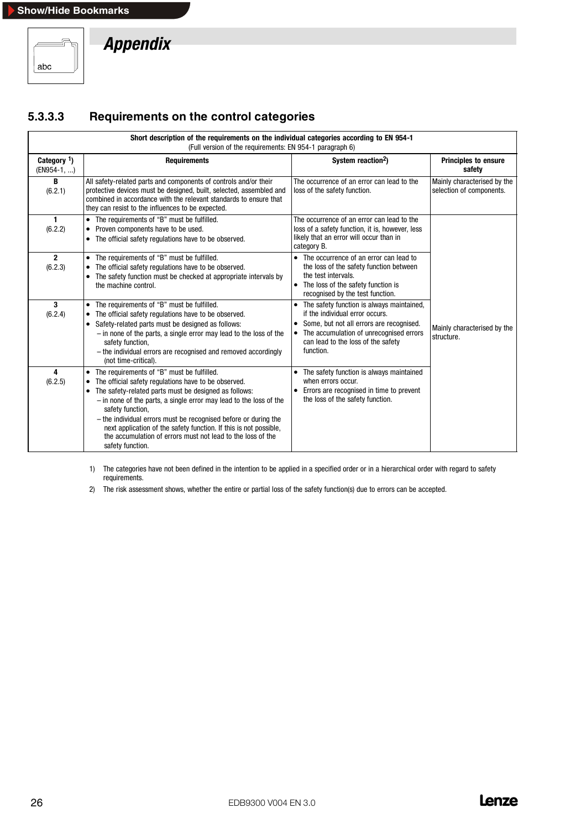<span id="page-29-0"></span>

## **5.3.3.3 Requirements on the control categories**

|                               | Short description of the requirements on the individual categories according to EN 954-1<br>(Full version of the requirements: EN 954-1 paragraph 6)                                                                                                                                                                                                                                                                                                                                           |                                                                                                                                                                                                                              |                                                         |
|-------------------------------|------------------------------------------------------------------------------------------------------------------------------------------------------------------------------------------------------------------------------------------------------------------------------------------------------------------------------------------------------------------------------------------------------------------------------------------------------------------------------------------------|------------------------------------------------------------------------------------------------------------------------------------------------------------------------------------------------------------------------------|---------------------------------------------------------|
| Category $1$ )<br>(EN954-1, ) | <b>Requirements</b>                                                                                                                                                                                                                                                                                                                                                                                                                                                                            | System reaction <sup>2</sup> )                                                                                                                                                                                               | <b>Principles to ensure</b><br>safety                   |
| В<br>(6.2.1)                  | All safety-related parts and components of controls and/or their<br>protective devices must be designed, built, selected, assembled and<br>combined in accordance with the relevant standards to ensure that<br>they can resist to the influences to be expected.                                                                                                                                                                                                                              | The occurrence of an error can lead to the<br>loss of the safety function.                                                                                                                                                   | Mainly characterised by the<br>selection of components. |
| 1.<br>(6.2.2)                 | • The requirements of "B" must be fulfilled.<br>Proven components have to be used.<br>$\bullet$<br>• The official safety regulations have to be observed.                                                                                                                                                                                                                                                                                                                                      | The occurrence of an error can lead to the<br>loss of a safety function, it is, however, less<br>likely that an error will occur than in<br>category B.                                                                      |                                                         |
| $\overline{2}$<br>(6.2.3)     | • The requirements of "B" must be fulfilled.<br>The official safety regulations have to be observed.<br>The safety function must be checked at appropriate intervals by<br>$\bullet$<br>the machine control.                                                                                                                                                                                                                                                                                   | • The occurrence of an error can lead to<br>the loss of the safety function between<br>the test intervals.<br>• The loss of the safety function is<br>recognised by the test function.                                       |                                                         |
| 3<br>(6.2.4)                  | The requirements of "B" must be fulfilled.<br>The official safety regulations have to be observed.<br>Safety-related parts must be designed as follows:<br>$\bullet$<br>$-$ in none of the parts, a single error may lead to the loss of the<br>safety function,<br>- the individual errors are recognised and removed accordingly<br>(not time-critical).                                                                                                                                     | • The safety function is always maintained,<br>if the individual error occurs.<br>• Some, but not all errors are recognised.<br>• The accumulation of unrecognised errors<br>can lead to the loss of the safety<br>function. | Mainly characterised by the<br>structure.               |
| 4<br>(6.2.5)                  | • The requirements of "B" must be fulfilled.<br>The official safety regulations have to be observed.<br>٠<br>The safety-related parts must be designed as follows:<br>٠<br>$-$ in none of the parts, a single error may lead to the loss of the<br>safety function,<br>- the individual errors must be recognised before or during the<br>next application of the safety function. If this is not possible,<br>the accumulation of errors must not lead to the loss of the<br>safety function. | • The safety function is always maintained<br>when errors occur.<br>• Errors are recognised in time to prevent<br>the loss of the safety function.                                                                           |                                                         |

1) The categories have not been defined in the intention to be applied in a specified order or in a hierarchical order with regard to safety requirements.

2) The risk assessment shows, whether the entire or partial loss of the safety function(s) due to errors can be accepted.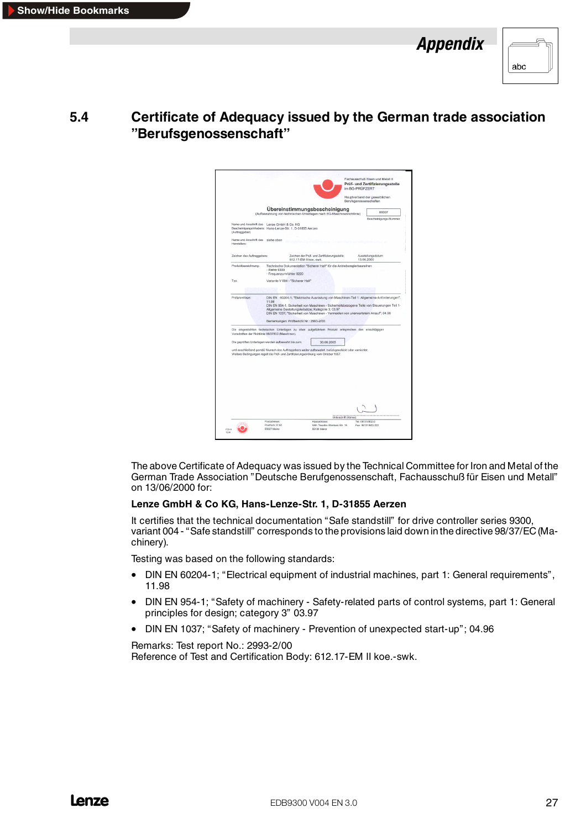| abc |
|-----|

## <span id="page-30-0"></span>**5.4 Certificate of Adequacy issued by the German trade association "Berufsgenossenschaft"**

|                                                                                                                                                                                          |                                          |                                         |                                                                                                        |                       | im BG-PRÜFZERT | Prüf- und Zertifizierungsstelle                                                                                                                                                        |
|------------------------------------------------------------------------------------------------------------------------------------------------------------------------------------------|------------------------------------------|-----------------------------------------|--------------------------------------------------------------------------------------------------------|-----------------------|----------------|----------------------------------------------------------------------------------------------------------------------------------------------------------------------------------------|
|                                                                                                                                                                                          |                                          |                                         |                                                                                                        |                       |                | Hauptverband der gewerblichen<br>Berufsgenossenschaften                                                                                                                                |
|                                                                                                                                                                                          |                                          |                                         | Übereinstimmungsbescheinigung<br>(Aufbewahrung von technischen Unterlagen nach EG-Maschinenrichtlinie) |                       |                | 00007                                                                                                                                                                                  |
|                                                                                                                                                                                          |                                          |                                         |                                                                                                        |                       |                | Bescheinigungs-Nummer                                                                                                                                                                  |
| Name und Anschrift des Lenze GmbH & Co. KG<br>Bescheinigungsinhabers: Hans-Lenze-Str. 1, D-31855 Aerzen<br>(Auftraggeber)                                                                |                                          |                                         |                                                                                                        |                       |                |                                                                                                                                                                                        |
| Name und Anschrift des siehe oben<br>Herstellers:                                                                                                                                        |                                          |                                         |                                                                                                        |                       |                |                                                                                                                                                                                        |
| Zeichen des Auftraggebers:                                                                                                                                                               |                                          | 612.17-EM II koe.-swk.                  | Zeichen der Prüf- und Zertifizierungsstelle:                                                           |                       |                | Ausstellungsdatum:<br>13,06,2000                                                                                                                                                       |
| Produktbezeichnung:                                                                                                                                                                      | - Reihe 9300<br>- Frequenzumrichter 8220 |                                         | Technische Dokumentation "Sicherer Halt" für die Antriebsreglerbaureihen                               |                       |                |                                                                                                                                                                                        |
| Typ:                                                                                                                                                                                     |                                          | Variante V 004 - "Sicherer Halt"        |                                                                                                        |                       |                |                                                                                                                                                                                        |
|                                                                                                                                                                                          |                                          |                                         |                                                                                                        |                       |                |                                                                                                                                                                                        |
| Prüfgrundlage:                                                                                                                                                                           | 11.98                                    |                                         | Allgemeine Gestaltungsleitsätze; Kategorie 3; 03.97                                                    |                       |                | DIN EN 60204-1; "Elektrische Ausrüstung von Maschinen-Teil 1: Allgemeine Anforderungen";<br>DIN EN 954-1; Sicherheit von Maschinen - Sicherheitsbezogene Teile von Steuerungen Teil 1- |
|                                                                                                                                                                                          |                                          | Bemerkungen: Prüfbericht Nr.: 2993-2/00 |                                                                                                        |                       |                | DIN EN 1037; "Sicherheit von Maschinen - Vermeiden von unerwartetem Anlauf"; 04.96                                                                                                     |
| Die eingereichten technischen Unterlagen zu oben aufgeführtem Produkt entsprechen den einschlägigen<br>Vorschriften der Richtlinie 98/37/EG (Maschinen).                                 |                                          |                                         |                                                                                                        |                       |                |                                                                                                                                                                                        |
| Die geprüften Unterlagen werden aufbewahrt bis zum:                                                                                                                                      |                                          |                                         | 30.06.2005                                                                                             |                       |                |                                                                                                                                                                                        |
| und anschließend gemäß Wunsch des Auftraggebers weiter aufbewahrt, zurückgeschickt oder vernichtet.<br>Weitere Bedingungen regelt die Prüf- und Zertifizierungsordnung vom Oktober 1997. |                                          |                                         |                                                                                                        |                       |                |                                                                                                                                                                                        |
|                                                                                                                                                                                          |                                          |                                         |                                                                                                        |                       |                |                                                                                                                                                                                        |
|                                                                                                                                                                                          |                                          |                                         |                                                                                                        |                       |                |                                                                                                                                                                                        |
|                                                                                                                                                                                          |                                          |                                         |                                                                                                        |                       |                |                                                                                                                                                                                        |
|                                                                                                                                                                                          | Predadresse                              |                                         | <b>Hausadmeser</b>                                                                                     | Unterschrift (Körner) |                | Tel: 06131/802-0                                                                                                                                                                       |

The above Certificate of Adequacy was issued by the Technical Committee for Iron and Metal of the German Trade Association "Deutsche Berufgenossenschaft, Fachausschuß für Eisen und Metall" on 13/06/2000 for:

#### **Lenze GmbH & Co KG, Hans-Lenze-Str. 1, D-31855 Aerzen**

It certifies that the technical documentation "Safe standstill" for drive controller series 9300, variant 004 - "Safe standstill" corresponds to the provisions laid down in the directive 98/37/EC(Machinery).

Testing was based on the following standards:

- DIN EN 60204-1; "Electrical equipment of industrial machines, part 1: General requirements", 11.98
- DIN EN 954-1; "Safety of machinery Safety-related parts of control systems, part 1: General principles for design; category 3" 03.97
- DIN EN 1037; "Safety of machinery Prevention of unexpected start-up"; 04.96

Remarks: Test report No.: 2993-2/00 Reference of Test and Certification Body: 612.17-EM II koe.-swk.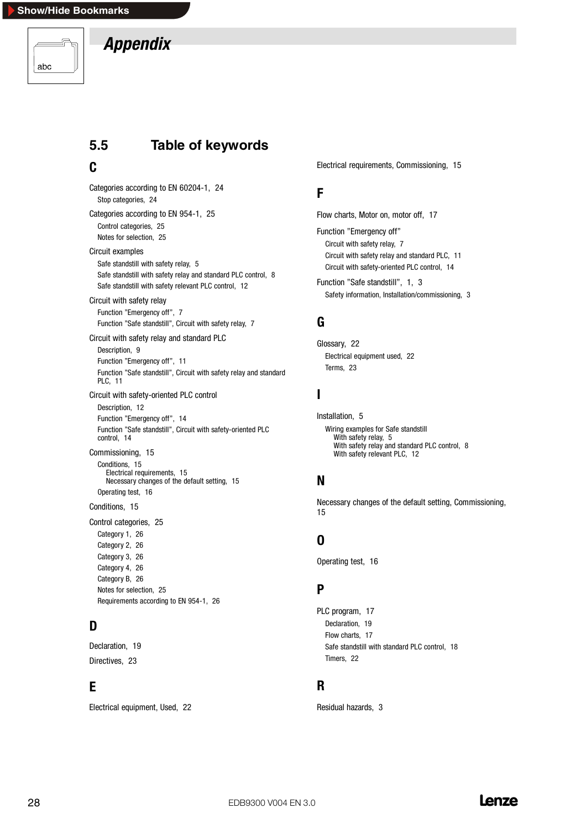<span id="page-31-0"></span>

# **5.5 Table of keywords**

## **C**

Categories according to EN 60204-1, 24 Stop categories, 24 Categories according to EN 954-1, 25 Control categories, 25 Notes for selection, 25 Circuit examples Safe standstill with safety relay, 5 Safe standstill with safety relay and standard PLC control, 8 Safe standstill with safety relevant PLC control, 12 Circuit with safety relay Function "Emergency off", 7 Function "Safe standstill", Circuit with safety relay, 7 Circuit with safety relay and standard PLC Description, 9 Function "Emergency off", 11 Function "Safe standstill", Circuit with safety relay and standard PLC, 11 Circuit with safety-oriented PLC control Description, 12 Function "Emergency off", 14 Function "Safe standstill", Circuit with safety-oriented PLC control, 14 Commissioning, 15 Conditions, 15 Electrical requirements, 15 Necessary changes of the default setting, 15 Operating test, 16 Conditions, 15 Control categories, 25 Category 1, 26 Category 2, 26 Category 3, 26 Category 4, 26 Category B, 26 Notes for selection, 25

## **D**

Declaration, 19 Directives, 23

## **E**

Electrical equipment, Used, 22

Requirements according to EN 954-1, 26

Electrical requirements, Commissioning, 15

## **F**

Flow charts, Motor on, motor off, 17

Function "Emergency off" Circuit with safety relay, 7 Circuit with safety relay and standard PLC, 11 Circuit with safety-oriented PLC control, 14

Function "Safe standstill", 1, 3 Safety information, Installation/commissioning, 3

# **G**

Glossary, 22 Electrical equipment used, 22 Terms, 23

## **I**

Installation, 5 Wiring examples for Safe standstill With safety relay, 5 With safety relay and standard PLC control, 8 With safety relevant PLC, 12

## **N**

Necessary changes of the default setting, Commissioning, 15

## **O**

Operating test, 16

## **P**

PLC program, 17 Declaration, 19 Flow charts, 17 Safe standstill with standard PLC control, 18 Timers, 22

## **R**

Residual hazards, 3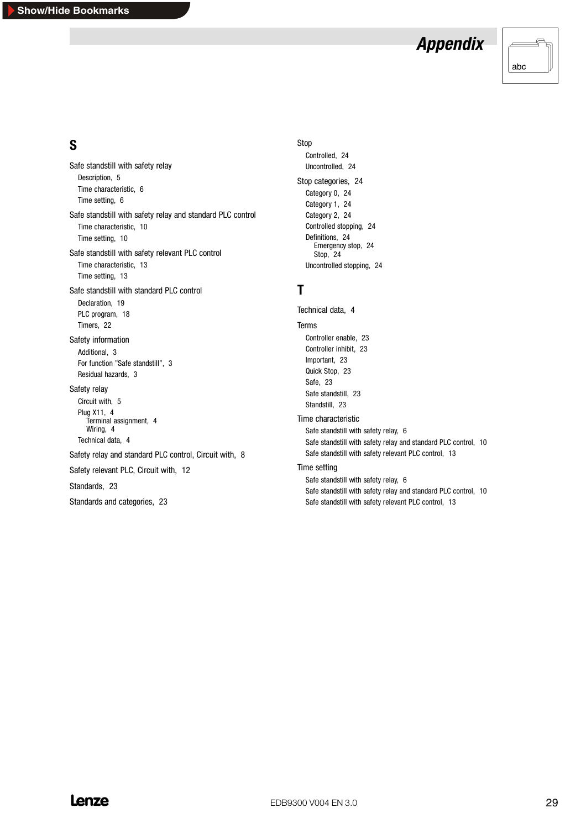

## **S**

Safe standstill with safety relay Description, 5 Time characteristic, 6 Time setting, 6 Safe standstill with safety relay and standard PLC control Time characteristic, 10 Time setting, 10 Safe standstill with safety relevant PLC control Time characteristic, 13 Time setting, 13 Safe standstill with standard PLC control Declaration, 19 PLC program, 18 Timers, 22 Safety information Additional, 3 For function "Safe standstill", 3 Residual hazards, 3 Safety relay Circuit with, 5 Plug X11, 4 Terminal assignment, 4 Wiring, 4 Technical data, 4 Safety relay and standard PLC control, Circuit with, 8 Safety relevant PLC, Circuit with, 12 Standards, 23 Standards and categories, 23

#### Stop

Controlled, 24 Uncontrolled, 24 Stop categories, 24 Category 0, 24 Category 1, 24 Category 2, 24 Controlled stopping, 24 Definitions, 24 Emergency stop, 24 Stop, 24 Uncontrolled stopping, 24

## **T**

Technical data, 4 Terms Controller enable, 23 Controller inhibit, 23 Important, 23 Quick Stop, 23 Safe, 23 Safe standstill, 23 Standstill, 23 Time characteristic Safe standstill with safety relay, 6 Safe standstill with safety relay and standard PLC control, 10 Safe standstill with safety relevant PLC control, 13 Time setting Safe standstill with safety relay, 6 Safe standstill with safety relay and standard PLC control, 10 Safe standstill with safety relevant PLC control, 13